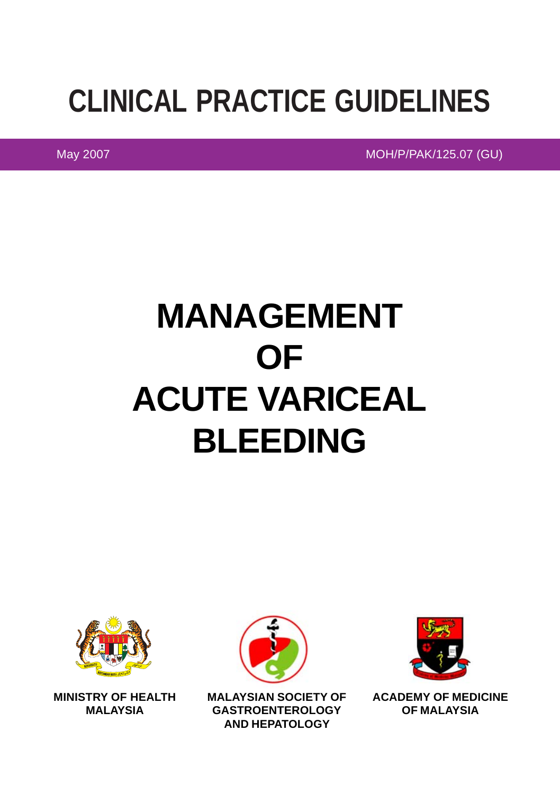## **CLINICAL PRACTICE GUIDELINES**

May 2007 Moh/P/PAK/125.07 (GU)

# **MANAGEMENT OF ACUTE VARICEAL BLEEDING**



**MINISTRY OF HEALTH MALAYSIA**



**MALAYSIAN SOCIETY OF GASTROENTEROLOGY AND HEPATOLOGY**



**ACADEMY OF MEDICINE OF MALAYSIA**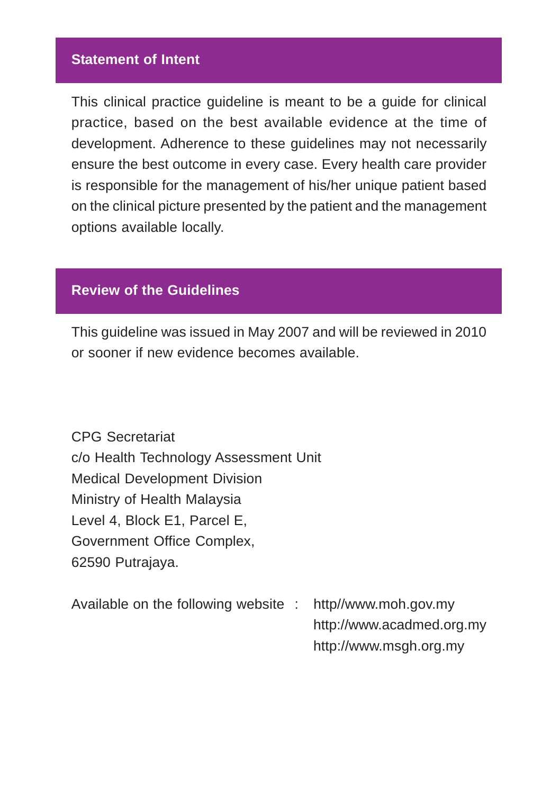#### **Statement of Intent**

This clinical practice guideline is meant to be a guide for clinical practice, based on the best available evidence at the time of development. Adherence to these guidelines may not necessarily ensure the best outcome in every case. Every health care provider is responsible for the management of his/her unique patient based on the clinical picture presented by the patient and the management options available locally.

#### **Review of the Guidelines**

This guideline was issued in May 2007 and will be reviewed in 2010 or sooner if new evidence becomes available.

CPG Secretariat c/o Health Technology Assessment Unit Medical Development Division Ministry of Health Malaysia Level 4, Block E1, Parcel E, Government Office Complex, 62590 Putrajaya.

Available on the following website : http//www.moh.gov.my http://www.acadmed.org.my http://www.msgh.org.my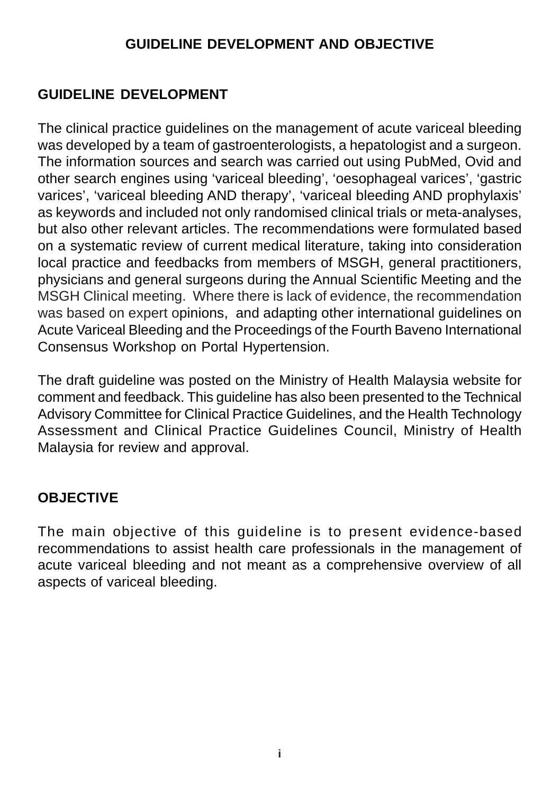#### **GUIDELINE DEVELOPMENT AND OBJECTIVE**

#### **GUIDELINE DEVELOPMENT**

The clinical practice guidelines on the management of acute variceal bleeding was developed by a team of gastroenterologists, a hepatologist and a surgeon. The information sources and search was carried out using PubMed, Ovid and other search engines using 'variceal bleeding', 'oesophageal varices', 'gastric varices', 'variceal bleeding AND therapy', 'variceal bleeding AND prophylaxis' as keywords and included not only randomised clinical trials or meta-analyses, but also other relevant articles. The recommendations were formulated based on a systematic review of current medical literature, taking into consideration local practice and feedbacks from members of MSGH, general practitioners, physicians and general surgeons during the Annual Scientific Meeting and the MSGH Clinical meeting. Where there is lack of evidence, the recommendation was based on expert opinions, and adapting other international guidelines on Acute Variceal Bleeding and the Proceedings of the Fourth Baveno International Consensus Workshop on Portal Hypertension.

The draft guideline was posted on the Ministry of Health Malaysia website for comment and feedback. This guideline has also been presented to the Technical Advisory Committee for Clinical Practice Guidelines, and the Health Technology Assessment and Clinical Practice Guidelines Council, Ministry of Health Malaysia for review and approval.

#### **OBJECTIVE**

The main objective of this guideline is to present evidence-based recommendations to assist health care professionals in the management of acute variceal bleeding and not meant as a comprehensive overview of all aspects of variceal bleeding.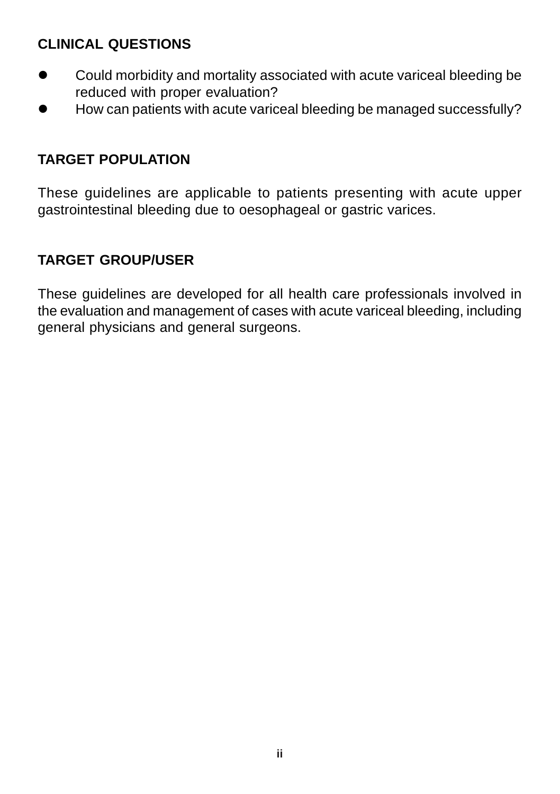#### **CLINICAL QUESTIONS**

- Could morbidity and mortality associated with acute variceal bleeding be reduced with proper evaluation?
- $\bullet$  How can patients with acute variceal bleeding be managed successfully?

## **TARGET POPULATION**

These guidelines are applicable to patients presenting with acute upper gastrointestinal bleeding due to oesophageal or gastric varices.

## **TARGET GROUP/USER**

These guidelines are developed for all health care professionals involved in the evaluation and management of cases with acute variceal bleeding, including general physicians and general surgeons.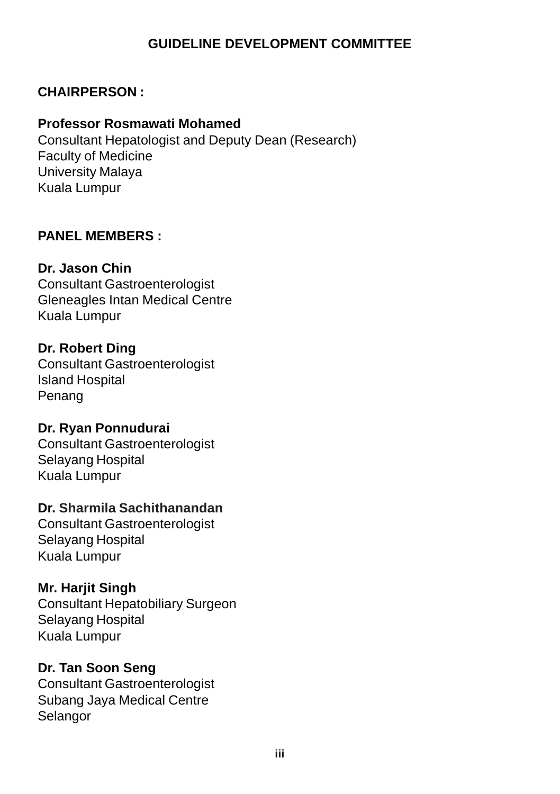#### **GUIDELINE DEVELOPMENT COMMITTEE**

#### **CHAIRPERSON :**

#### **Professor Rosmawati Mohamed**

Consultant Hepatologist and Deputy Dean (Research) Faculty of Medicine University Malaya Kuala Lumpur

#### **PANEL MEMBERS :**

#### **Dr. Jason Chin**

Consultant Gastroenterologist Gleneagles Intan Medical Centre Kuala Lumpur

#### **Dr. Robert Ding**

Consultant Gastroenterologist Island Hospital Penang

#### **Dr. Ryan Ponnudurai**

Consultant Gastroenterologist Selayang Hospital Kuala Lumpur

#### **Dr. Sharmila Sachithanandan**

Consultant Gastroenterologist Selayang Hospital Kuala Lumpur

#### **Mr. Harjit Singh**

Consultant Hepatobiliary Surgeon Selayang Hospital Kuala Lumpur

#### **Dr. Tan Soon Seng**

Consultant Gastroenterologist Subang Jaya Medical Centre Selangor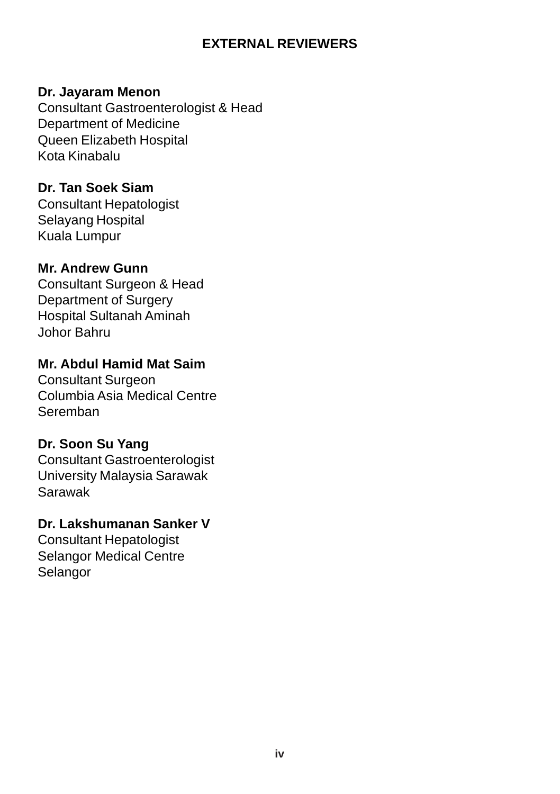#### **EXTERNAL REVIEWERS**

#### **Dr. Jayaram Menon**

Consultant Gastroenterologist & Head Department of Medicine Queen Elizabeth Hospital Kota Kinabalu

#### **Dr. Tan Soek Siam**

Consultant Hepatologist Selayang Hospital Kuala Lumpur

#### **Mr. Andrew Gunn**

Consultant Surgeon & Head Department of Surgery Hospital Sultanah Aminah Johor Bahru

#### **Mr. Abdul Hamid Mat Saim**

Consultant Surgeon Columbia Asia Medical Centre Seremban

#### **Dr. Soon Su Yang**

Consultant Gastroenterologist University Malaysia Sarawak Sarawak

#### **Dr. Lakshumanan Sanker V**

Consultant Hepatologist Selangor Medical Centre Selangor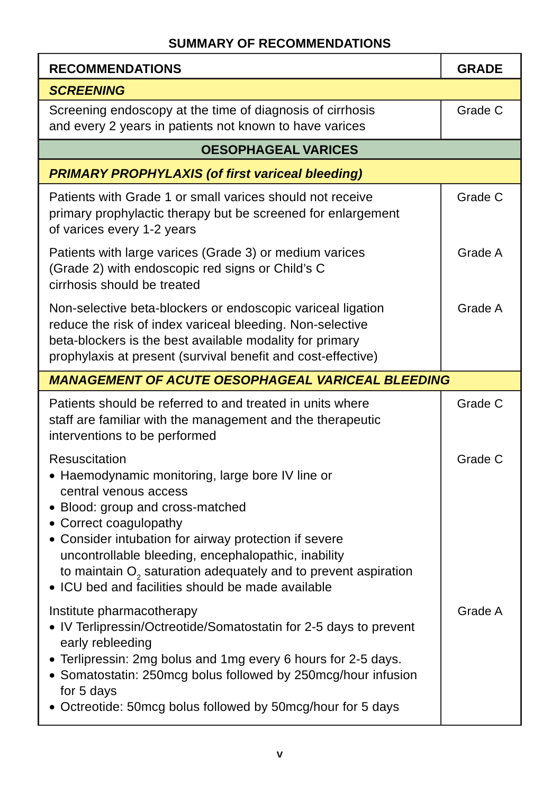#### **SUMMARY OF RECOMMENDATIONS**

| <b>RECOMMENDATIONS</b>                                                                                                                                                                                                                                                                                                                                                                            | <b>GRADE</b> |  |
|---------------------------------------------------------------------------------------------------------------------------------------------------------------------------------------------------------------------------------------------------------------------------------------------------------------------------------------------------------------------------------------------------|--------------|--|
| <b>SCREENING</b>                                                                                                                                                                                                                                                                                                                                                                                  |              |  |
| Screening endoscopy at the time of diagnosis of cirrhosis<br>and every 2 years in patients not known to have varices                                                                                                                                                                                                                                                                              | Grade C      |  |
| <b>OESOPHAGEAL VARICES</b>                                                                                                                                                                                                                                                                                                                                                                        |              |  |
| <b>PRIMARY PROPHYLAXIS (of first variceal bleeding)</b>                                                                                                                                                                                                                                                                                                                                           |              |  |
| Patients with Grade 1 or small varices should not receive<br>primary prophylactic therapy but be screened for enlargement<br>of varices every 1-2 years                                                                                                                                                                                                                                           | Grade C      |  |
| Patients with large varices (Grade 3) or medium varices<br>(Grade 2) with endoscopic red signs or Child's C<br>cirrhosis should be treated                                                                                                                                                                                                                                                        | Grade A      |  |
| Non-selective beta-blockers or endoscopic variceal ligation<br>reduce the risk of index variceal bleeding. Non-selective<br>beta-blockers is the best available modality for primary<br>prophylaxis at present (survival benefit and cost-effective)                                                                                                                                              | Grade A      |  |
| <b>MANAGEMENT OF ACUTE OESOPHAGEAL VARICEAL BLEEDING</b>                                                                                                                                                                                                                                                                                                                                          |              |  |
| Patients should be referred to and treated in units where<br>staff are familiar with the management and the therapeutic<br>interventions to be performed                                                                                                                                                                                                                                          | Grade C      |  |
| Resuscitation<br>• Haemodynamic monitoring, large bore IV line or<br>central venous access<br>• Blood: group and cross-matched<br>• Correct coagulopathy<br>• Consider intubation for airway protection if severe<br>uncontrollable bleeding, encephalopathic, inability<br>to maintain $O2$ saturation adequately and to prevent aspiration<br>• ICU bed and facilities should be made available | Grade C      |  |
| Institute pharmacotherapy<br>• IV Terlipressin/Octreotide/Somatostatin for 2-5 days to prevent<br>early rebleeding<br>• Terlipressin: 2mg bolus and 1mg every 6 hours for 2-5 days.<br>• Somatostatin: 250mcg bolus followed by 250mcg/hour infusion<br>for 5 days<br>• Octreotide: 50mcg bolus followed by 50mcg/hour for 5 days                                                                 | Grade A      |  |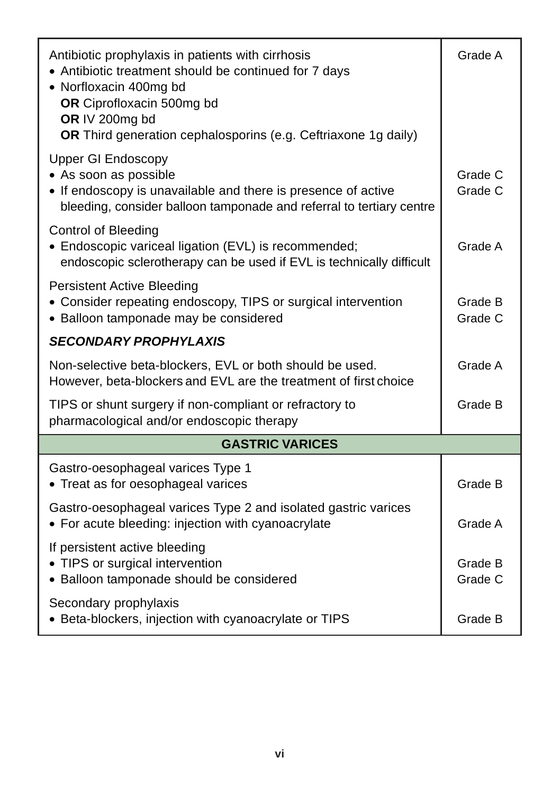| Antibiotic prophylaxis in patients with cirrhosis<br>• Antibiotic treatment should be continued for 7 days<br>• Norfloxacin 400mg bd<br>OR Ciprofloxacin 500mg bd<br>OR IV 200mg bd<br>OR Third generation cephalosporins (e.g. Ceftriaxone 1g daily) | Grade A            |  |  |
|-------------------------------------------------------------------------------------------------------------------------------------------------------------------------------------------------------------------------------------------------------|--------------------|--|--|
| <b>Upper GI Endoscopy</b><br>• As soon as possible<br>• If endoscopy is unavailable and there is presence of active<br>bleeding, consider balloon tamponade and referral to tertiary centre                                                           | Grade C<br>Grade C |  |  |
| <b>Control of Bleeding</b><br>• Endoscopic variceal ligation (EVL) is recommended;<br>endoscopic sclerotherapy can be used if EVL is technically difficult                                                                                            | Grade A            |  |  |
| <b>Persistent Active Bleeding</b><br>• Consider repeating endoscopy, TIPS or surgical intervention<br>• Balloon tamponade may be considered                                                                                                           | Grade B<br>Grade C |  |  |
| <b>SECONDARY PROPHYLAXIS</b>                                                                                                                                                                                                                          |                    |  |  |
| Non-selective beta-blockers, EVL or both should be used.<br>However, beta-blockers and EVL are the treatment of first choice                                                                                                                          | Grade A            |  |  |
| TIPS or shunt surgery if non-compliant or refractory to<br>pharmacological and/or endoscopic therapy                                                                                                                                                  | Grade B            |  |  |
| <b>GASTRIC VARICES</b>                                                                                                                                                                                                                                |                    |  |  |
| Gastro-oesophageal varices Type 1<br>• Treat as for oesophageal varices                                                                                                                                                                               | Grade B            |  |  |
| Gastro-oesophageal varices Type 2 and isolated gastric varices<br>• For acute bleeding: injection with cyanoacrylate                                                                                                                                  | Grade A            |  |  |
| If persistent active bleeding<br>• TIPS or surgical intervention<br>• Balloon tamponade should be considered                                                                                                                                          | Grade B<br>Grade C |  |  |
| Secondary prophylaxis<br>• Beta-blockers, injection with cyanoacrylate or TIPS                                                                                                                                                                        | Grade B            |  |  |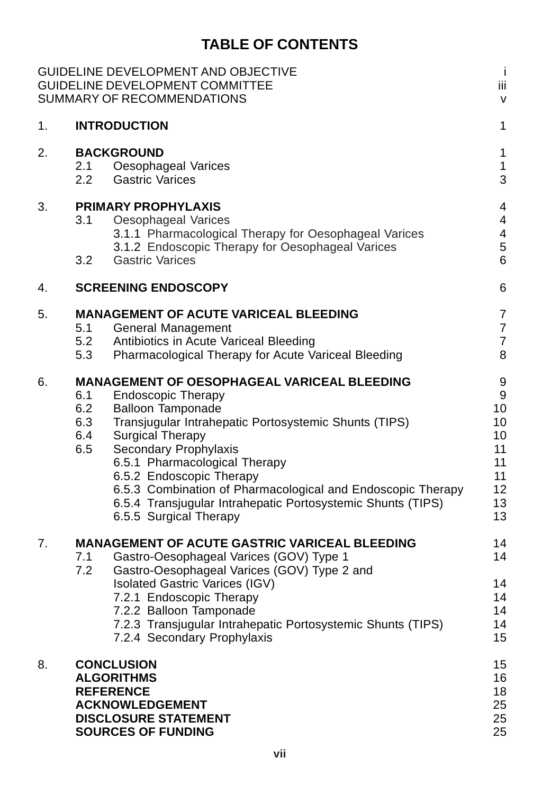## **TABLE OF CONTENTS**

|    | GUIDELINE DEVELOPMENT AND OBJECTIVE<br><b>GUIDELINE DEVELOPMENT COMMITTEE</b><br>SUMMARY OF RECOMMENDATIONS                                                                                                                                                                                                                                                                                                                                                        | j<br>Ϊij<br>$\vee$                                           |
|----|--------------------------------------------------------------------------------------------------------------------------------------------------------------------------------------------------------------------------------------------------------------------------------------------------------------------------------------------------------------------------------------------------------------------------------------------------------------------|--------------------------------------------------------------|
| 1. | <b>INTRODUCTION</b>                                                                                                                                                                                                                                                                                                                                                                                                                                                | 1                                                            |
| 2. | <b>BACKGROUND</b><br>2.1<br>Oesophageal Varices<br>2.2<br><b>Gastric Varices</b>                                                                                                                                                                                                                                                                                                                                                                                   | 1<br>1<br>3                                                  |
| 3. | <b>PRIMARY PROPHYLAXIS</b><br>3.1<br>Oesophageal Varices<br>3.1.1 Pharmacological Therapy for Oesophageal Varices<br>3.1.2 Endoscopic Therapy for Oesophageal Varices<br><b>Gastric Varices</b><br>3.2                                                                                                                                                                                                                                                             | 4<br>4<br>4<br>5<br>6                                        |
| 4. | <b>SCREENING ENDOSCOPY</b>                                                                                                                                                                                                                                                                                                                                                                                                                                         | 6                                                            |
| 5. | <b>MANAGEMENT OF ACUTE VARICEAL BLEEDING</b><br>5.1<br>General Management<br>5.2<br>Antibiotics in Acute Variceal Bleeding<br>5.3<br>Pharmacological Therapy for Acute Variceal Bleeding                                                                                                                                                                                                                                                                           | 7<br>7<br>$\overline{7}$<br>8                                |
| 6. | <b>MANAGEMENT OF OESOPHAGEAL VARICEAL BLEEDING</b><br>6.1<br><b>Endoscopic Therapy</b><br>6.2<br>Balloon Tamponade<br>6.3<br>Transjugular Intrahepatic Portosystemic Shunts (TIPS)<br>6.4<br>Surgical Therapy<br>6.5<br>Secondary Prophylaxis<br>6.5.1 Pharmacological Therapy<br>6.5.2 Endoscopic Therapy<br>6.5.3 Combination of Pharmacological and Endoscopic Therapy<br>6.5.4 Transjugular Intrahepatic Portosystemic Shunts (TIPS)<br>6.5.5 Surgical Therapy | 9<br>9<br>10<br>10<br>10<br>11<br>11<br>11<br>12<br>13<br>13 |
| 7. | <b>MANAGEMENT OF ACUTE GASTRIC VARICEAL BLEEDING</b><br>Gastro-Oesophageal Varices (GOV) Type 1<br>7.1<br>7.2<br>Gastro-Oesophageal Varices (GOV) Type 2 and<br><b>Isolated Gastric Varices (IGV)</b><br>7.2.1 Endoscopic Therapy<br>7.2.2 Balloon Tamponade<br>7.2.3 Transjugular Intrahepatic Portosystemic Shunts (TIPS)<br>7.2.4 Secondary Prophylaxis                                                                                                         | 14<br>14<br>14<br>14<br>14<br>14<br>15                       |
| 8. | <b>CONCLUSION</b><br><b>ALGORITHMS</b><br><b>REFERENCE</b><br><b>ACKNOWLEDGEMENT</b><br><b>DISCLOSURE STATEMENT</b><br><b>SOURCES OF FUNDING</b>                                                                                                                                                                                                                                                                                                                   | 15<br>16<br>18<br>25<br>25<br>25                             |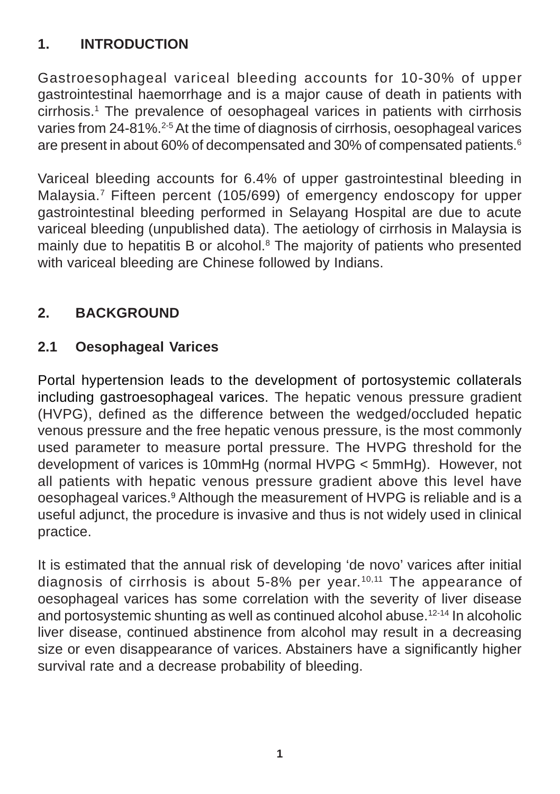## **1. INTRODUCTION**

Gastroesophageal variceal bleeding accounts for 10-30% of upper gastrointestinal haemorrhage and is a major cause of death in patients with cirrhosis.<sup>1</sup> The prevalence of oesophageal varices in patients with cirrhosis varies from 24-81%.<sup>2-5</sup> At the time of diagnosis of cirrhosis, oesophageal varices are present in about 60% of decompensated and 30% of compensated patients.<sup>6</sup>

Variceal bleeding accounts for 6.4% of upper gastrointestinal bleeding in Malaysia.7 Fifteen percent (105/699) of emergency endoscopy for upper gastrointestinal bleeding performed in Selayang Hospital are due to acute variceal bleeding (unpublished data). The aetiology of cirrhosis in Malaysia is mainly due to hepatitis B or alcohol.<sup>8</sup> The majority of patients who presented with variceal bleeding are Chinese followed by Indians.

## **2. BACKGROUND**

## **2.1 Oesophageal Varices**

Portal hypertension leads to the development of portosystemic collaterals including gastroesophageal varices. The hepatic venous pressure gradient (HVPG), defined as the difference between the wedged/occluded hepatic venous pressure and the free hepatic venous pressure, is the most commonly used parameter to measure portal pressure. The HVPG threshold for the development of varices is 10mmHg (normal HVPG < 5mmHg). However, not all patients with hepatic venous pressure gradient above this level have oesophageal varices.<sup>9</sup> Although the measurement of HVPG is reliable and is a useful adjunct, the procedure is invasive and thus is not widely used in clinical practice.

It is estimated that the annual risk of developing 'de novo' varices after initial diagnosis of cirrhosis is about  $5-8\%$  per year.<sup>10,11</sup> The appearance of oesophageal varices has some correlation with the severity of liver disease and portosystemic shunting as well as continued alcohol abuse.12-14 In alcoholic liver disease, continued abstinence from alcohol may result in a decreasing size or even disappearance of varices. Abstainers have a significantly higher survival rate and a decrease probability of bleeding.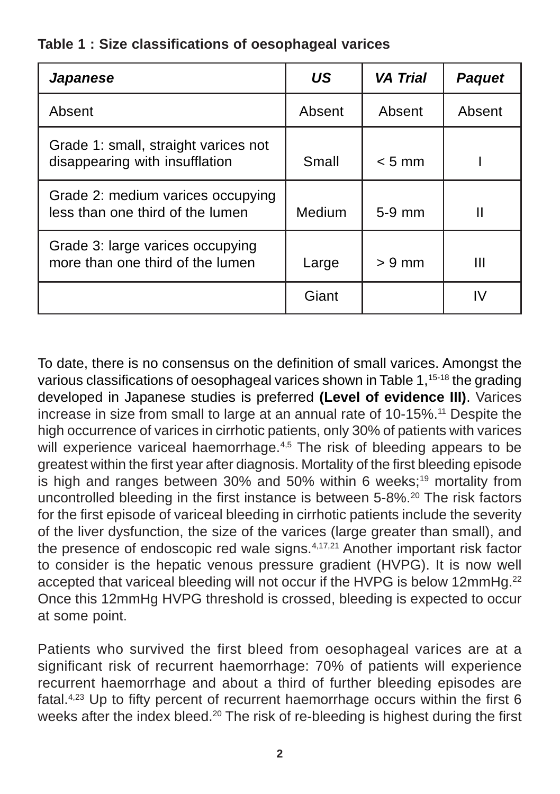|  |  |  | Table 1: Size classifications of oesophageal varices |  |  |  |
|--|--|--|------------------------------------------------------|--|--|--|
|--|--|--|------------------------------------------------------|--|--|--|

| <b>Japanese</b>                                                        | US     | <b>VA Trial</b>  | <b>Paquet</b> |
|------------------------------------------------------------------------|--------|------------------|---------------|
| Absent                                                                 | Absent | Absent           | Absent        |
| Grade 1: small, straight varices not<br>disappearing with insufflation | Small  | $< 5 \text{ mm}$ |               |
| Grade 2: medium varices occupying<br>less than one third of the lumen  | Medium | $5-9$ mm         |               |
| Grade 3: large varices occupying<br>more than one third of the lumen   | Large  | $> 9$ mm         | Ш             |
|                                                                        | Giant  |                  | IV            |

To date, there is no consensus on the definition of small varices. Amongst the various classifications of oesophageal varices shown in Table 1,<sup>15-18</sup> the grading developed in Japanese studies is preferred **(Level of evidence III)**. Varices increase in size from small to large at an annual rate of 10-15%.<sup>11</sup> Despite the high occurrence of varices in cirrhotic patients, only 30% of patients with varices will experience variceal haemorrhage.<sup>4,5</sup> The risk of bleeding appears to be greatest within the first year after diagnosis. Mortality of the first bleeding episode is high and ranges between 30% and 50% within 6 weeks;<sup>19</sup> mortality from uncontrolled bleeding in the first instance is between 5-8%.20 The risk factors for the first episode of variceal bleeding in cirrhotic patients include the severity of the liver dysfunction, the size of the varices (large greater than small), and the presence of endoscopic red wale signs.<sup>4,17,21</sup> Another important risk factor to consider is the hepatic venous pressure gradient (HVPG). It is now well accepted that variceal bleeding will not occur if the HVPG is below 12mmHg.<sup>22</sup> Once this 12mmHg HVPG threshold is crossed, bleeding is expected to occur at some point.

Patients who survived the first bleed from oesophageal varices are at a significant risk of recurrent haemorrhage: 70% of patients will experience recurrent haemorrhage and about a third of further bleeding episodes are fatal.4,23 Up to fifty percent of recurrent haemorrhage occurs within the first 6 weeks after the index bleed.<sup>20</sup> The risk of re-bleeding is highest during the first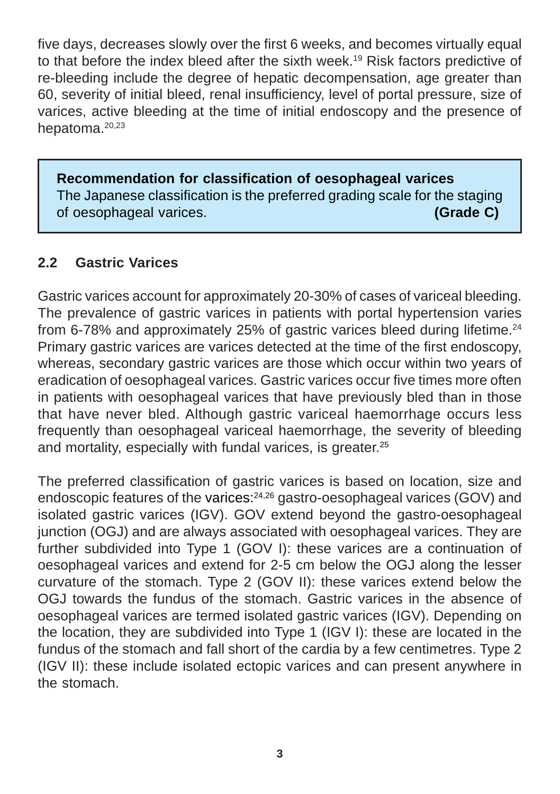five days, decreases slowly over the first 6 weeks, and becomes virtually equal to that before the index bleed after the sixth week.19 Risk factors predictive of re-bleeding include the degree of hepatic decompensation, age greater than 60, severity of initial bleed, renal insufficiency, level of portal pressure, size of varices, active bleeding at the time of initial endoscopy and the presence of hepatoma.20,23

**Recommendation for classification of oesophageal varices** The Japanese classification is the preferred grading scale for the staging of oesophageal varices. **(Grade C)**

## **2.2 Gastric Varices**

Gastric varices account for approximately 20-30% of cases of variceal bleeding. The prevalence of gastric varices in patients with portal hypertension varies from 6-78% and approximately 25% of gastric varices bleed during lifetime.<sup>24</sup> Primary gastric varices are varices detected at the time of the first endoscopy, whereas, secondary gastric varices are those which occur within two years of eradication of oesophageal varices. Gastric varices occur five times more often in patients with oesophageal varices that have previously bled than in those that have never bled. Although gastric variceal haemorrhage occurs less frequently than oesophageal variceal haemorrhage, the severity of bleeding and mortality, especially with fundal varices, is greater.<sup>25</sup>

The preferred classification of gastric varices is based on location, size and endoscopic features of the varices:<sup>24,26</sup> gastro-oesophageal varices (GOV) and isolated gastric varices (IGV). GOV extend beyond the gastro-oesophageal junction (OGJ) and are always associated with oesophageal varices. They are further subdivided into Type 1 (GOV I): these varices are a continuation of oesophageal varices and extend for 2-5 cm below the OGJ along the lesser curvature of the stomach. Type 2 (GOV II): these varices extend below the OGJ towards the fundus of the stomach. Gastric varices in the absence of oesophageal varices are termed isolated gastric varices (IGV). Depending on the location, they are subdivided into Type 1 (IGV I): these are located in the fundus of the stomach and fall short of the cardia by a few centimetres. Type 2 (IGV II): these include isolated ectopic varices and can present anywhere in the stomach.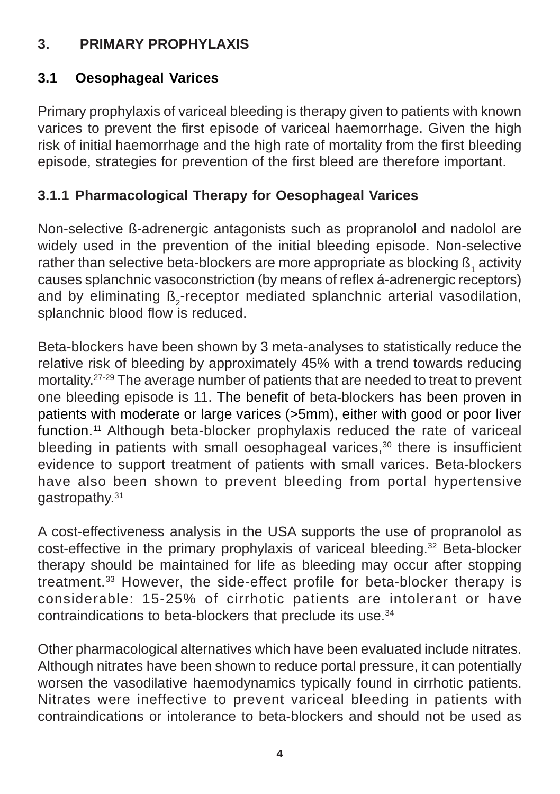## **3. PRIMARY PROPHYLAXIS**

## **3.1 Oesophageal Varices**

Primary prophylaxis of variceal bleeding is therapy given to patients with known varices to prevent the first episode of variceal haemorrhage. Given the high risk of initial haemorrhage and the high rate of mortality from the first bleeding episode, strategies for prevention of the first bleed are therefore important.

## **3.1.1 Pharmacological Therapy for Oesophageal Varices**

Non-selective ß-adrenergic antagonists such as propranolol and nadolol are widely used in the prevention of the initial bleeding episode. Non-selective rather than selective beta-blockers are more appropriate as blocking  $\mathtt{B_{1}}$  activity causes splanchnic vasoconstriction (by means of reflex á-adrenergic receptors) and by eliminating ß<sub>2</sub>-receptor mediated splanchnic arterial vasodilation, splanchnic blood flow is reduced.

Beta-blockers have been shown by 3 meta-analyses to statistically reduce the relative risk of bleeding by approximately 45% with a trend towards reducing mortality.27-29 The average number of patients that are needed to treat to prevent one bleeding episode is 11. The benefit of beta-blockers has been proven in patients with moderate or large varices (>5mm), either with good or poor liver function.<sup>11</sup> Although beta-blocker prophylaxis reduced the rate of variceal bleeding in patients with small oesophageal varices.<sup>30</sup> there is insufficient evidence to support treatment of patients with small varices. Beta-blockers have also been shown to prevent bleeding from portal hypertensive gastropathy.31

A cost-effectiveness analysis in the USA supports the use of propranolol as cost-effective in the primary prophylaxis of variceal bleeding.<sup>32</sup> Beta-blocker therapy should be maintained for life as bleeding may occur after stopping treatment.33 However, the side-effect profile for beta-blocker therapy is considerable: 15-25% of cirrhotic patients are intolerant or have contraindications to beta-blockers that preclude its use.34

Other pharmacological alternatives which have been evaluated include nitrates. Although nitrates have been shown to reduce portal pressure, it can potentially worsen the vasodilative haemodynamics typically found in cirrhotic patients. Nitrates were ineffective to prevent variceal bleeding in patients with contraindications or intolerance to beta-blockers and should not be used as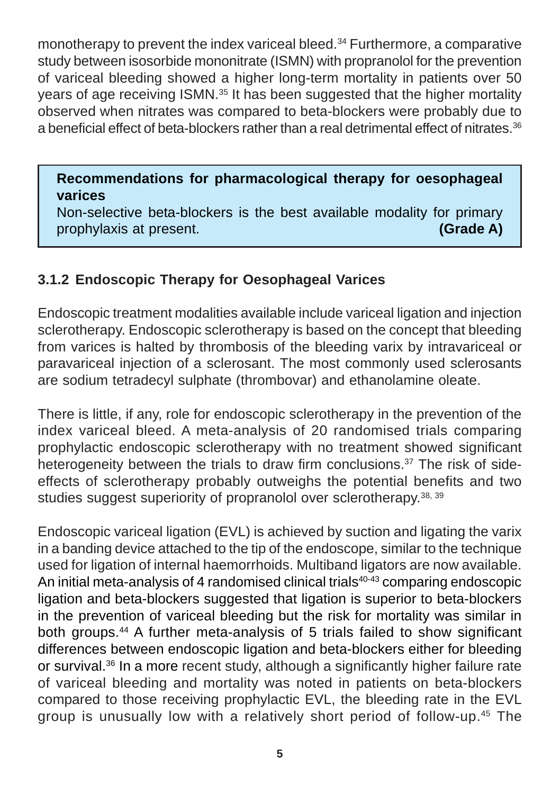monotherapy to prevent the index variceal bleed.<sup>34</sup> Furthermore, a comparative study between isosorbide mononitrate (ISMN) with propranolol for the prevention of variceal bleeding showed a higher long-term mortality in patients over 50 years of age receiving ISMN.35 It has been suggested that the higher mortality observed when nitrates was compared to beta-blockers were probably due to a beneficial effect of beta-blockers rather than a real detrimental effect of nitrates.36

#### **Recommendations for pharmacological therapy for oesophageal varices**

Non-selective beta-blockers is the best available modality for primary prophylaxis at present. **(Grade A)**

#### **3.1.2 Endoscopic Therapy for Oesophageal Varices**

Endoscopic treatment modalities available include variceal ligation and injection sclerotherapy. Endoscopic sclerotherapy is based on the concept that bleeding from varices is halted by thrombosis of the bleeding varix by intravariceal or paravariceal injection of a sclerosant. The most commonly used sclerosants are sodium tetradecyl sulphate (thrombovar) and ethanolamine oleate.

There is little, if any, role for endoscopic sclerotherapy in the prevention of the index variceal bleed. A meta-analysis of 20 randomised trials comparing prophylactic endoscopic sclerotherapy with no treatment showed significant heterogeneity between the trials to draw firm conclusions.<sup>37</sup> The risk of sideeffects of sclerotherapy probably outweighs the potential benefits and two studies suggest superiority of propranolol over sclerotherapy.<sup>38, 39</sup>

Endoscopic variceal ligation (EVL) is achieved by suction and ligating the varix in a banding device attached to the tip of the endoscope, similar to the technique used for ligation of internal haemorrhoids. Multiband ligators are now available. An initial meta-analysis of 4 randomised clinical trials $40-43$  comparing endoscopic ligation and beta-blockers suggested that ligation is superior to beta-blockers in the prevention of variceal bleeding but the risk for mortality was similar in both groups.44 A further meta-analysis of 5 trials failed to show significant differences between endoscopic ligation and beta-blockers either for bleeding or survival.<sup>36</sup> In a more recent study, although a significantly higher failure rate of variceal bleeding and mortality was noted in patients on beta-blockers compared to those receiving prophylactic EVL, the bleeding rate in the EVL group is unusually low with a relatively short period of follow-up.45 The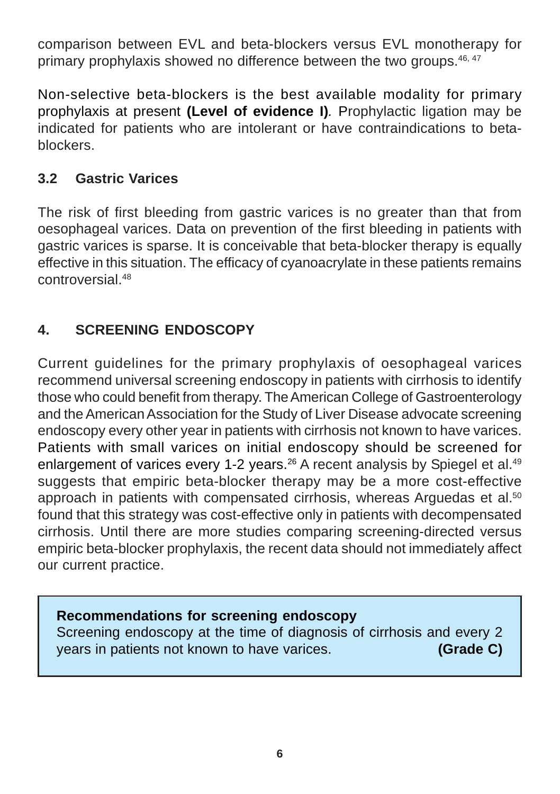comparison between EVL and beta-blockers versus EVL monotherapy for primary prophylaxis showed no difference between the two groups.<sup>46, 47</sup>

Non-selective beta-blockers is the best available modality for primary prophylaxis at present **(Level of evidence I)***.* Prophylactic ligation may be indicated for patients who are intolerant or have contraindications to betablockers.

## **3.2 Gastric Varices**

The risk of first bleeding from gastric varices is no greater than that from oesophageal varices. Data on prevention of the first bleeding in patients with gastric varices is sparse. It is conceivable that beta-blocker therapy is equally effective in this situation. The efficacy of cyanoacrylate in these patients remains controversial<sup>48</sup>

## **4. SCREENING ENDOSCOPY**

Current guidelines for the primary prophylaxis of oesophageal varices recommend universal screening endoscopy in patients with cirrhosis to identify those who could benefit from therapy. The American College of Gastroenterology and the American Association for the Study of Liver Disease advocate screening endoscopy every other year in patients with cirrhosis not known to have varices. Patients with small varices on initial endoscopy should be screened for enlargement of varices every 1-2 years.<sup>26</sup> A recent analysis by Spiegel et al.<sup>49</sup> suggests that empiric beta-blocker therapy may be a more cost-effective approach in patients with compensated cirrhosis, whereas Arguedas et al.<sup>50</sup> found that this strategy was cost-effective only in patients with decompensated cirrhosis. Until there are more studies comparing screening-directed versus empiric beta-blocker prophylaxis, the recent data should not immediately affect our current practice.

#### **Recommendations for screening endoscopy**

Screening endoscopy at the time of diagnosis of cirrhosis and every 2 years in patients not known to have varices. **(Grade C)**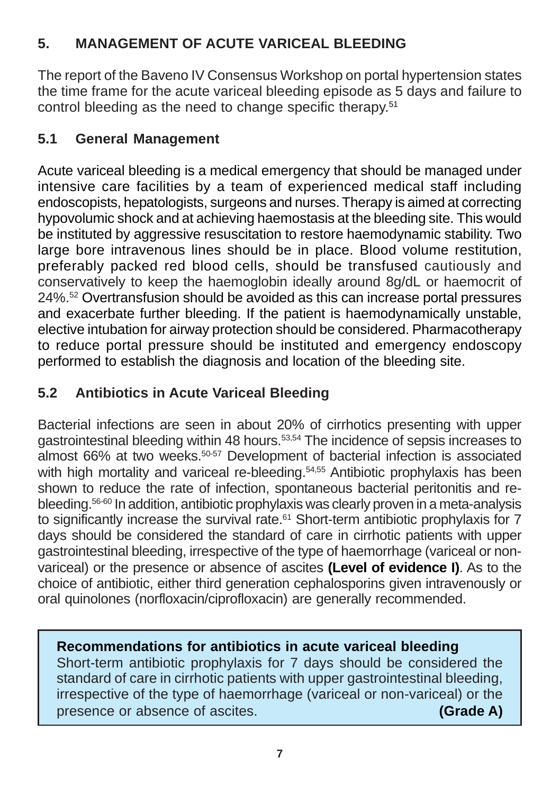## **5. MANAGEMENT OF ACUTE VARICEAL BLEEDING**

The report of the Baveno IV Consensus Workshop on portal hypertension states the time frame for the acute variceal bleeding episode as 5 days and failure to control bleeding as the need to change specific therapy.51

## **5.1 General Management**

Acute variceal bleeding is a medical emergency that should be managed under intensive care facilities by a team of experienced medical staff including endoscopists, hepatologists, surgeons and nurses. Therapy is aimed at correcting hypovolumic shock and at achieving haemostasis at the bleeding site. This would be instituted by aggressive resuscitation to restore haemodynamic stability. Two large bore intravenous lines should be in place. Blood volume restitution, preferably packed red blood cells, should be transfused cautiously and conservatively to keep the haemoglobin ideally around 8g/dL or haemocrit of 24%.52 Overtransfusion should be avoided as this can increase portal pressures and exacerbate further bleeding. If the patient is haemodynamically unstable, elective intubation for airway protection should be considered. Pharmacotherapy to reduce portal pressure should be instituted and emergency endoscopy performed to establish the diagnosis and location of the bleeding site.

## **5.2 Antibiotics in Acute Variceal Bleeding**

Bacterial infections are seen in about 20% of cirrhotics presenting with upper gastrointestinal bleeding within 48 hours.53,54 The incidence of sepsis increases to almost 66% at two weeks.50-57 Development of bacterial infection is associated with high mortality and variceal re-bleeding.<sup>54,55</sup> Antibiotic prophylaxis has been shown to reduce the rate of infection, spontaneous bacterial peritonitis and rebleeding.56-60 In addition, antibiotic prophylaxis was clearly proven in a meta-analysis to significantly increase the survival rate. $61$  Short-term antibiotic prophylaxis for 7 days should be considered the standard of care in cirrhotic patients with upper gastrointestinal bleeding, irrespective of the type of haemorrhage (variceal or nonvariceal) or the presence or absence of ascites **(Level of evidence I)**. As to the choice of antibiotic, either third generation cephalosporins given intravenously or oral quinolones (norfloxacin/ciprofloxacin) are generally recommended.

## **Recommendations for antibiotics in acute variceal bleeding**

Short-term antibiotic prophylaxis for 7 days should be considered the standard of care in cirrhotic patients with upper gastrointestinal bleeding, irrespective of the type of haemorrhage (variceal or non-variceal) or the presence or absence of ascites. **(Grade A)**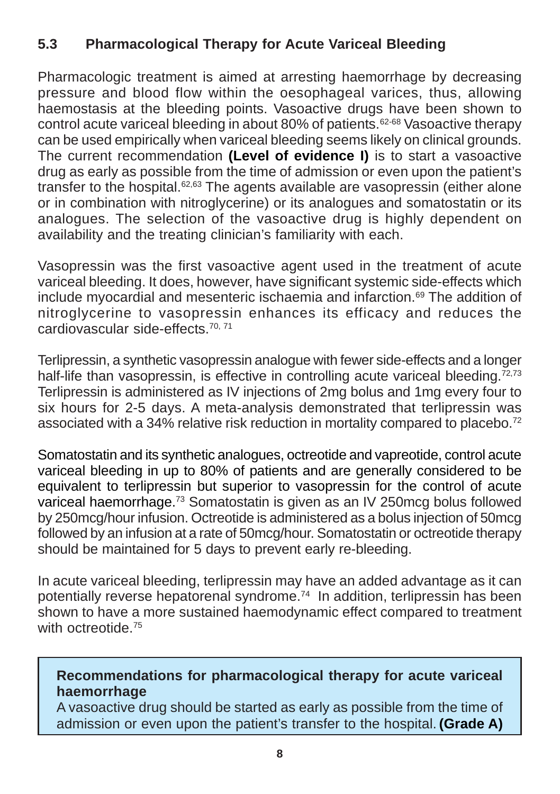## **5.3 Pharmacological Therapy for Acute Variceal Bleeding**

Pharmacologic treatment is aimed at arresting haemorrhage by decreasing pressure and blood flow within the oesophageal varices, thus, allowing haemostasis at the bleeding points. Vasoactive drugs have been shown to control acute variceal bleeding in about 80% of patients.62-68 Vasoactive therapy can be used empirically when variceal bleeding seems likely on clinical grounds. The current recommendation **(Level of evidence I)** is to start a vasoactive drug as early as possible from the time of admission or even upon the patient's transfer to the hospital.<sup>62,63</sup> The agents available are vasopressin (either alone or in combination with nitroglycerine) or its analogues and somatostatin or its analogues. The selection of the vasoactive drug is highly dependent on availability and the treating clinician's familiarity with each.

Vasopressin was the first vasoactive agent used in the treatment of acute variceal bleeding. It does, however, have significant systemic side-effects which include myocardial and mesenteric ischaemia and infarction.<sup>69</sup> The addition of nitroglycerine to vasopressin enhances its efficacy and reduces the cardiovascular side-effects.70, 71

Terlipressin, a synthetic vasopressin analogue with fewer side-effects and a longer half-life than vasopressin, is effective in controlling acute variceal bleeding. $72,73$ Terlipressin is administered as IV injections of 2mg bolus and 1mg every four to six hours for 2-5 days. A meta-analysis demonstrated that terlipressin was associated with a 34% relative risk reduction in mortality compared to placebo.<sup>72</sup>

Somatostatin and its synthetic analogues, octreotide and vapreotide, control acute variceal bleeding in up to 80% of patients and are generally considered to be equivalent to terlipressin but superior to vasopressin for the control of acute variceal haemorrhage.73 Somatostatin is given as an IV 250mcg bolus followed by 250mcg/hour infusion. Octreotide is administered as a bolus injection of 50mcg followed by an infusion at a rate of 50mcg/hour. Somatostatin or octreotide therapy should be maintained for 5 days to prevent early re-bleeding.

In acute variceal bleeding, terlipressin may have an added advantage as it can potentially reverse hepatorenal syndrome.74 In addition, terlipressin has been shown to have a more sustained haemodynamic effect compared to treatment with octreotide <sup>75</sup>

#### **Recommendations for pharmacological therapy for acute variceal haemorrhage**

A vasoactive drug should be started as early as possible from the time of admission or even upon the patient's transfer to the hospital. **(Grade A)**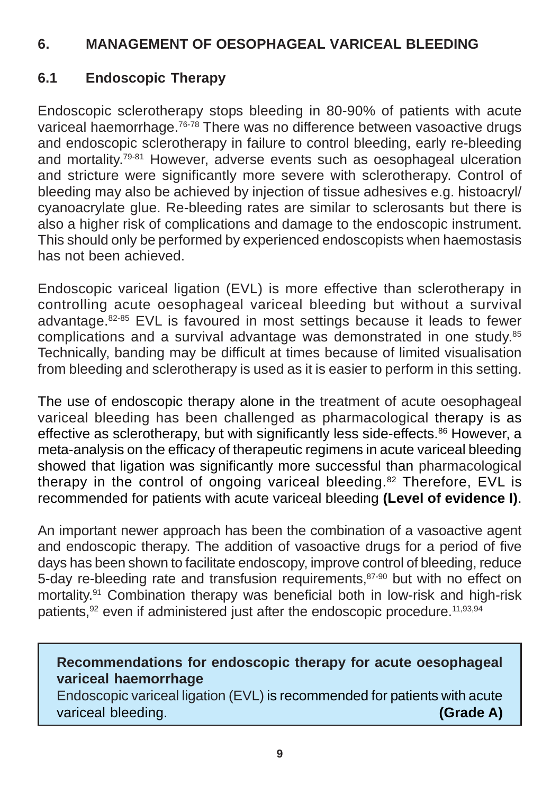#### **6. MANAGEMENT OF OESOPHAGEAL VARICEAL BLEEDING**

## **6.1 Endoscopic Therapy**

Endoscopic sclerotherapy stops bleeding in 80-90% of patients with acute variceal haemorrhage.76-78 There was no difference between vasoactive drugs and endoscopic sclerotherapy in failure to control bleeding, early re-bleeding and mortality.79-81 However, adverse events such as oesophageal ulceration and stricture were significantly more severe with sclerotherapy. Control of bleeding may also be achieved by injection of tissue adhesives e.g. histoacryl/ cyanoacrylate glue. Re-bleeding rates are similar to sclerosants but there is also a higher risk of complications and damage to the endoscopic instrument. This should only be performed by experienced endoscopists when haemostasis has not been achieved.

Endoscopic variceal ligation (EVL) is more effective than sclerotherapy in controlling acute oesophageal variceal bleeding but without a survival advantage.82-85 EVL is favoured in most settings because it leads to fewer complications and a survival advantage was demonstrated in one study.85 Technically, banding may be difficult at times because of limited visualisation from bleeding and sclerotherapy is used as it is easier to perform in this setting.

The use of endoscopic therapy alone in the treatment of acute oesophageal variceal bleeding has been challenged as pharmacological therapy is as effective as sclerotherapy, but with significantly less side-effects.<sup>86</sup> However, a meta-analysis on the efficacy of therapeutic regimens in acute variceal bleeding showed that ligation was significantly more successful than pharmacological therapy in the control of ongoing variceal bleeding.82 Therefore, EVL is recommended for patients with acute variceal bleeding **(Level of evidence I)**.

An important newer approach has been the combination of a vasoactive agent and endoscopic therapy. The addition of vasoactive drugs for a period of five days has been shown to facilitate endoscopy, improve control of bleeding, reduce 5-dav re-bleeding rate and transfusion requirements, 87-90 but with no effect on mortality.91 Combination therapy was beneficial both in low-risk and high-risk patients,<sup>92</sup> even if administered just after the endoscopic procedure.<sup>11,93,94</sup>

**Recommendations for endoscopic therapy for acute oesophageal variceal haemorrhage**

Endoscopic variceal ligation (EVL) is recommended for patients with acute variceal bleeding. **(Grade A)**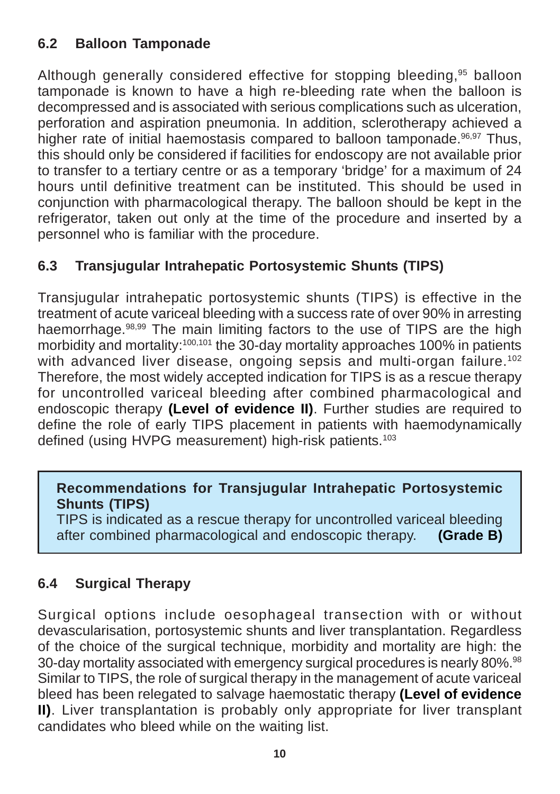## **6.2 Balloon Tamponade**

Although generally considered effective for stopping bleeding,<sup>95</sup> balloon tamponade is known to have a high re-bleeding rate when the balloon is decompressed and is associated with serious complications such as ulceration, perforation and aspiration pneumonia. In addition, sclerotherapy achieved a higher rate of initial haemostasis compared to balloon tamponade.<sup>96,97</sup> Thus, this should only be considered if facilities for endoscopy are not available prior to transfer to a tertiary centre or as a temporary 'bridge' for a maximum of 24 hours until definitive treatment can be instituted. This should be used in conjunction with pharmacological therapy. The balloon should be kept in the refrigerator, taken out only at the time of the procedure and inserted by a personnel who is familiar with the procedure.

## **6.3 Transjugular Intrahepatic Portosystemic Shunts (TIPS)**

Transjugular intrahepatic portosystemic shunts (TIPS) is effective in the treatment of acute variceal bleeding with a success rate of over 90% in arresting haemorrhage.98,99 The main limiting factors to the use of TIPS are the high morbidity and mortality:100,101 the 30-day mortality approaches 100% in patients with advanced liver disease, ongoing sepsis and multi-organ failure.<sup>102</sup> Therefore, the most widely accepted indication for TIPS is as a rescue therapy for uncontrolled variceal bleeding after combined pharmacological and endoscopic therapy **(Level of evidence II)**. Further studies are required to define the role of early TIPS placement in patients with haemodynamically defined (using HVPG measurement) high-risk patients.<sup>103</sup>

#### **Recommendations for Transjugular Intrahepatic Portosystemic Shunts (TIPS)**

TIPS is indicated as a rescue therapy for uncontrolled variceal bleeding after combined pharmacological and endoscopic therapy. **(Grade B)**

## **6.4 Surgical Therapy**

Surgical options include oesophageal transection with or without devascularisation, portosystemic shunts and liver transplantation. Regardless of the choice of the surgical technique, morbidity and mortality are high: the 30-day mortality associated with emergency surgical procedures is nearly 80%.<sup>98</sup> Similar to TIPS, the role of surgical therapy in the management of acute variceal bleed has been relegated to salvage haemostatic therapy **(Level of evidence II)**. Liver transplantation is probably only appropriate for liver transplant candidates who bleed while on the waiting list.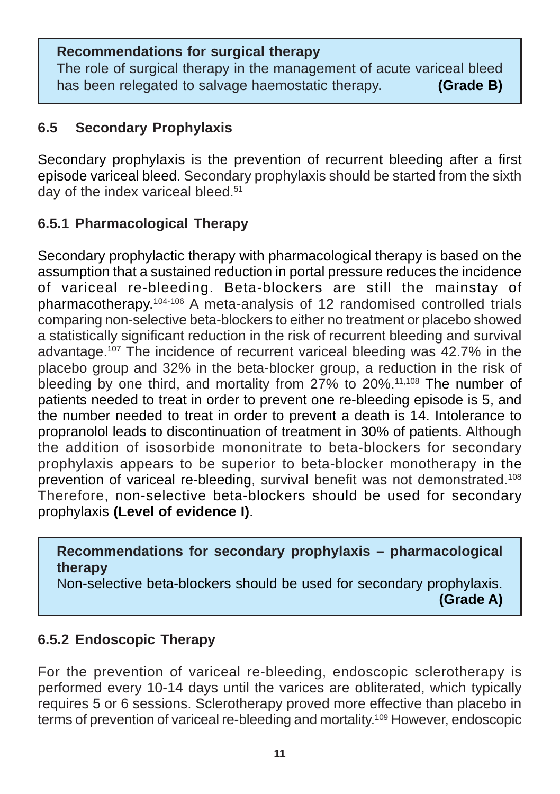#### **Recommendations for surgical therapy**

The role of surgical therapy in the management of acute variceal bleed has been relegated to salvage haemostatic therapy. **(Grade B)**

#### **6.5 Secondary Prophylaxis**

Secondary prophylaxis is the prevention of recurrent bleeding after a first episode variceal bleed. Secondary prophylaxis should be started from the sixth day of the index variceal bleed.<sup>51</sup>

## **6.5.1 Pharmacological Therapy**

Secondary prophylactic therapy with pharmacological therapy is based on the assumption that a sustained reduction in portal pressure reduces the incidence of variceal re-bleeding. Beta-blockers are still the mainstay of pharmacotherapy.104-106 A meta-analysis of 12 randomised controlled trials comparing non-selective beta-blockers to either no treatment or placebo showed a statistically significant reduction in the risk of recurrent bleeding and survival advantage.107 The incidence of recurrent variceal bleeding was 42.7% in the placebo group and 32% in the beta-blocker group, a reduction in the risk of bleeding by one third, and mortality from 27% to 20%.<sup>11,108</sup> The number of patients needed to treat in order to prevent one re-bleeding episode is 5, and the number needed to treat in order to prevent a death is 14. Intolerance to propranolol leads to discontinuation of treatment in 30% of patients. Although the addition of isosorbide mononitrate to beta-blockers for secondary prophylaxis appears to be superior to beta-blocker monotherapy in the prevention of variceal re-bleeding, survival benefit was not demonstrated.108 Therefore, non-selective beta-blockers should be used for secondary prophylaxis **(Level of evidence I)**.

**Recommendations for secondary prophylaxis – pharmacological therapy**

Non-selective beta-blockers should be used for secondary prophylaxis.

#### **(Grade A)**

## **6.5.2 Endoscopic Therapy**

For the prevention of variceal re-bleeding, endoscopic sclerotherapy is performed every 10-14 days until the varices are obliterated, which typically requires 5 or 6 sessions. Sclerotherapy proved more effective than placebo in terms of prevention of variceal re-bleeding and mortality.109 However, endoscopic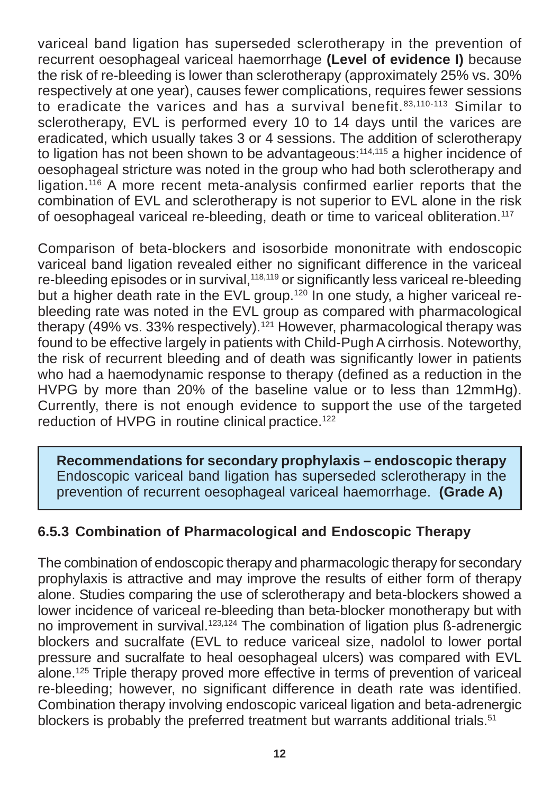variceal band ligation has superseded sclerotherapy in the prevention of recurrent oesophageal variceal haemorrhage **(Level of evidence I)** because the risk of re-bleeding is lower than sclerotherapy (approximately 25% vs. 30% respectively at one year), causes fewer complications, requires fewer sessions to eradicate the varices and has a survival benefit.<sup>83,110-113</sup> Similar to sclerotherapy, EVL is performed every 10 to 14 days until the varices are eradicated, which usually takes 3 or 4 sessions. The addition of sclerotherapy to ligation has not been shown to be advantageous:<sup>114,115</sup> a higher incidence of oesophageal stricture was noted in the group who had both sclerotherapy and ligation.116 A more recent meta-analysis confirmed earlier reports that the combination of EVL and sclerotherapy is not superior to EVL alone in the risk of oesophageal variceal re-bleeding, death or time to variceal obliteration.117

Comparison of beta-blockers and isosorbide mononitrate with endoscopic variceal band ligation revealed either no significant difference in the variceal re-bleeding episodes or in survival,<sup>118,119</sup> or significantly less variceal re-bleeding but a higher death rate in the EVL group.<sup>120</sup> In one study, a higher variceal rebleeding rate was noted in the EVL group as compared with pharmacological therapy (49% vs. 33% respectively).<sup>121</sup> However, pharmacological therapy was found to be effective largely in patients with Child-Pugh A cirrhosis. Noteworthy, the risk of recurrent bleeding and of death was significantly lower in patients who had a haemodynamic response to therapy (defined as a reduction in the HVPG by more than 20% of the baseline value or to less than 12mmHg). Currently, there is not enough evidence to support the use of the targeted reduction of HVPG in routine clinical practice.<sup>122</sup>

**Recommendations for secondary prophylaxis – endoscopic therapy** Endoscopic variceal band ligation has superseded sclerotherapy in the prevention of recurrent oesophageal variceal haemorrhage. **(Grade A)**

## **6.5.3 Combination of Pharmacological and Endoscopic Therapy**

The combination of endoscopic therapy and pharmacologic therapy for secondary prophylaxis is attractive and may improve the results of either form of therapy alone. Studies comparing the use of sclerotherapy and beta-blockers showed a lower incidence of variceal re-bleeding than beta-blocker monotherapy but with no improvement in survival.123,124 The combination of ligation plus ß-adrenergic blockers and sucralfate (EVL to reduce variceal size, nadolol to lower portal pressure and sucralfate to heal oesophageal ulcers) was compared with EVL alone.125 Triple therapy proved more effective in terms of prevention of variceal re-bleeding; however, no significant difference in death rate was identified. Combination therapy involving endoscopic variceal ligation and beta-adrenergic blockers is probably the preferred treatment but warrants additional trials.<sup>51</sup>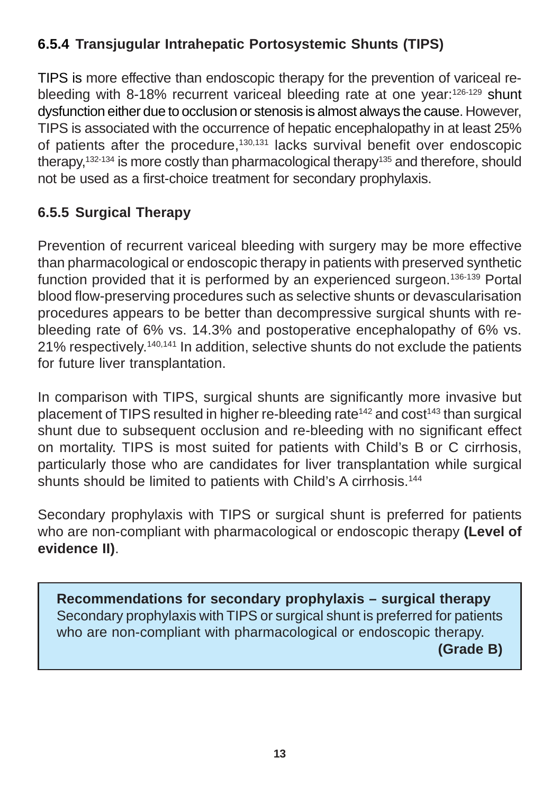## **6.5.4 Transjugular Intrahepatic Portosystemic Shunts (TIPS)**

TIPS is more effective than endoscopic therapy for the prevention of variceal rebleeding with 8-18% recurrent variceal bleeding rate at one year:126-129 shunt dysfunction either due to occlusion or stenosis is almost always the cause. However, TIPS is associated with the occurrence of hepatic encephalopathy in at least 25% of patients after the procedure,<sup>130,131</sup> lacks survival benefit over endoscopic therapy,<sup>132-134</sup> is more costly than pharmacological therapy<sup>135</sup> and therefore, should not be used as a first-choice treatment for secondary prophylaxis.

## **6.5.5 Surgical Therapy**

Prevention of recurrent variceal bleeding with surgery may be more effective than pharmacological or endoscopic therapy in patients with preserved synthetic function provided that it is performed by an experienced surgeon.136-139 Portal blood flow-preserving procedures such as selective shunts or devascularisation procedures appears to be better than decompressive surgical shunts with rebleeding rate of 6% vs. 14.3% and postoperative encephalopathy of 6% vs. 21% respectively.140,141 In addition, selective shunts do not exclude the patients for future liver transplantation.

In comparison with TIPS, surgical shunts are significantly more invasive but placement of TIPS resulted in higher re-bleeding rate<sup>142</sup> and  $cost^{143}$  than surgical shunt due to subsequent occlusion and re-bleeding with no significant effect on mortality. TIPS is most suited for patients with Child's B or C cirrhosis, particularly those who are candidates for liver transplantation while surgical shunts should be limited to patients with Child's A cirrhosis.<sup>144</sup>

Secondary prophylaxis with TIPS or surgical shunt is preferred for patients who are non-compliant with pharmacological or endoscopic therapy **(Level of evidence II)**.

**Recommendations for secondary prophylaxis – surgical therapy** Secondary prophylaxis with TIPS or surgical shunt is preferred for patients who are non-compliant with pharmacological or endoscopic therapy. **(Grade B)**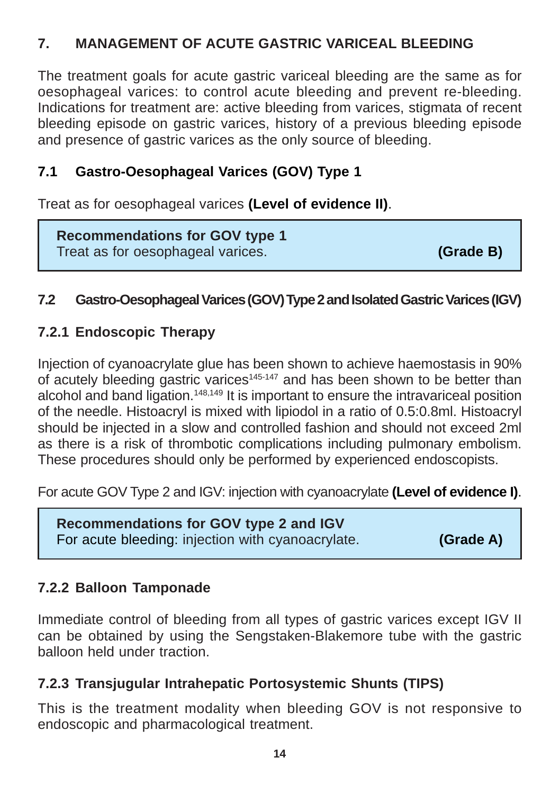## **7. MANAGEMENT OF ACUTE GASTRIC VARICEAL BLEEDING**

The treatment goals for acute gastric variceal bleeding are the same as for oesophageal varices: to control acute bleeding and prevent re-bleeding. Indications for treatment are: active bleeding from varices, stigmata of recent bleeding episode on gastric varices, history of a previous bleeding episode and presence of gastric varices as the only source of bleeding.

## **7.1 Gastro-Oesophageal Varices (GOV) Type 1**

Treat as for oesophageal varices **(Level of evidence II)**.

**Recommendations for GOV type 1** Treat as for oesophageal varices. **(Grade B)**

#### **7.2 Gastro-Oesophageal Varices (GOV) Type 2 and Isolated Gastric Varices (IGV)**

## **7.2.1 Endoscopic Therapy**

Injection of cyanoacrylate glue has been shown to achieve haemostasis in 90% of acutely bleeding gastric varices<sup>145-147</sup> and has been shown to be better than alcohol and band ligation.<sup>148,149</sup> It is important to ensure the intravariceal position of the needle. Histoacryl is mixed with lipiodol in a ratio of 0.5:0.8ml. Histoacryl should be injected in a slow and controlled fashion and should not exceed 2ml as there is a risk of thrombotic complications including pulmonary embolism. These procedures should only be performed by experienced endoscopists.

For acute GOV Type 2 and IGV: injection with cyanoacrylate **(Level of evidence I)**.

**Recommendations for GOV type 2 and IGV** For acute bleeding: injection with cyanoacrylate. **(Grade A)** 

## **7.2.2 Balloon Tamponade**

Immediate control of bleeding from all types of gastric varices except IGV II can be obtained by using the Sengstaken-Blakemore tube with the gastric balloon held under traction.

## **7.2.3 Transjugular Intrahepatic Portosystemic Shunts (TIPS)**

This is the treatment modality when bleeding GOV is not responsive to endoscopic and pharmacological treatment.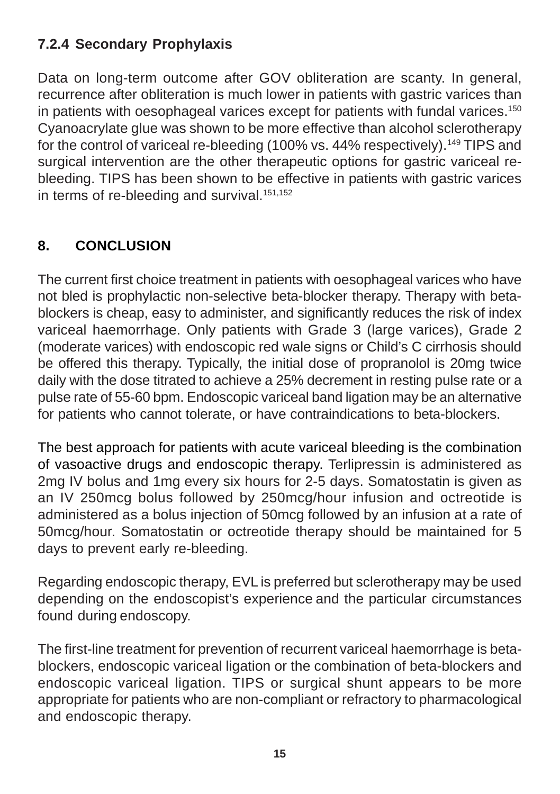## **7.2.4 Secondary Prophylaxis**

Data on long-term outcome after GOV obliteration are scanty. In general, recurrence after obliteration is much lower in patients with gastric varices than in patients with oesophageal varices except for patients with fundal varices.<sup>150</sup> Cyanoacrylate glue was shown to be more effective than alcohol sclerotherapy for the control of variceal re-bleeding (100% vs. 44% respectively).<sup>149</sup> TIPS and surgical intervention are the other therapeutic options for gastric variceal rebleeding. TIPS has been shown to be effective in patients with gastric varices in terms of re-bleeding and survival.<sup>151,152</sup>

## **8. CONCLUSION**

The current first choice treatment in patients with oesophageal varices who have not bled is prophylactic non-selective beta-blocker therapy. Therapy with betablockers is cheap, easy to administer, and significantly reduces the risk of index variceal haemorrhage. Only patients with Grade 3 (large varices), Grade 2 (moderate varices) with endoscopic red wale signs or Child's C cirrhosis should be offered this therapy. Typically, the initial dose of propranolol is 20mg twice daily with the dose titrated to achieve a 25% decrement in resting pulse rate or a pulse rate of 55-60 bpm. Endoscopic variceal band ligation may be an alternative for patients who cannot tolerate, or have contraindications to beta-blockers.

The best approach for patients with acute variceal bleeding is the combination of vasoactive drugs and endoscopic therapy. Terlipressin is administered as 2mg IV bolus and 1mg every six hours for 2-5 days. Somatostatin is given as an IV 250mcg bolus followed by 250mcg/hour infusion and octreotide is administered as a bolus injection of 50mcg followed by an infusion at a rate of 50mcg/hour. Somatostatin or octreotide therapy should be maintained for 5 days to prevent early re-bleeding.

Regarding endoscopic therapy, EVL is preferred but sclerotherapy may be used depending on the endoscopist's experience and the particular circumstances found during endoscopy.

The first-line treatment for prevention of recurrent variceal haemorrhage is betablockers, endoscopic variceal ligation or the combination of beta-blockers and endoscopic variceal ligation. TIPS or surgical shunt appears to be more appropriate for patients who are non-compliant or refractory to pharmacological and endoscopic therapy.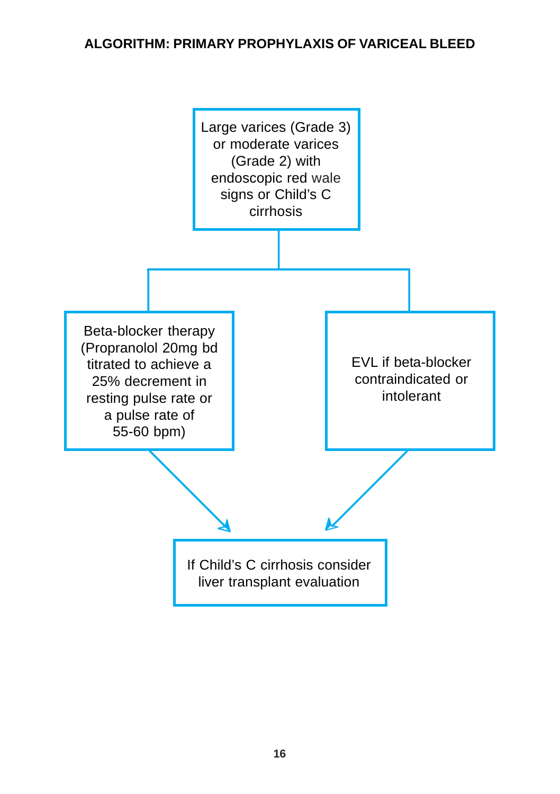#### **ALGORITHM: PRIMARY PROPHYLAXIS OF VARICEAL BLEED**

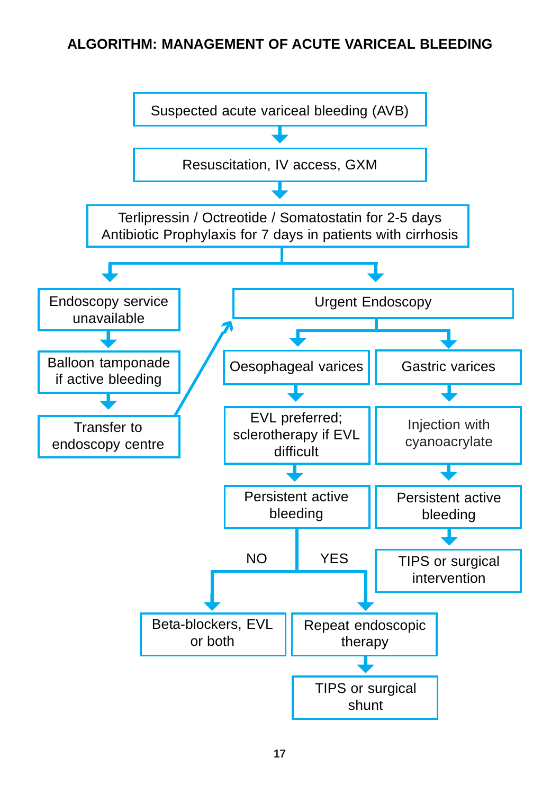#### **ALGORITHM: MANAGEMENT OF ACUTE VARICEAL BLEEDING**

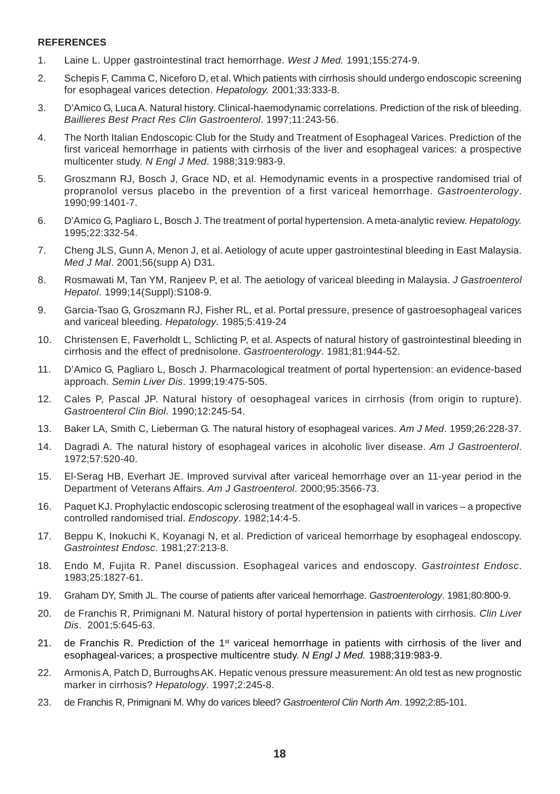#### **REFERENCES**

- 1. Laine L. Upper gastrointestinal tract hemorrhage. *West J Med.* 1991;155:274-9.
- 2. Schepis F, Camma C, Niceforo D, et al. Which patients with cirrhosis should undergo endoscopic screening for esophageal varices detection. *Hepatology.* 2001;33:333-8.
- 3. D'Amico G, Luca A. Natural history. Clinical-haemodynamic correlations. Prediction of the risk of bleeding. *Baillieres Best Pract Res Clin Gastroenterol*. 1997;11:243-56.
- 4. The North Italian Endoscopic Club for the Study and Treatment of Esophageal Varices. Prediction of the first variceal hemorrhage in patients with cirrhosis of the liver and esophageal varices: a prospective multicenter study. *N Engl J Med*. 1988;319:983-9.
- 5. Groszmann RJ, Bosch J, Grace ND, et al. Hemodynamic events in a prospective randomised trial of propranolol versus placebo in the prevention of a first variceal hemorrhage. *Gastroenterology*. 1990;99:1401-7.
- 6. D'Amico G, Pagliaro L, Bosch J. The treatment of portal hypertension. A meta-analytic review. *Hepatology.* 1995;22:332-54.
- 7. Cheng JLS, Gunn A, Menon J, et al. Aetiology of acute upper gastrointestinal bleeding in East Malaysia. *Med J Mal*. 2001;56(supp A) D31.
- 8. Rosmawati M, Tan YM, Ranjeev P, et al. The aetiology of variceal bleeding in Malaysia. *J Gastroenterol Hepatol*. 1999;14(Suppl):S108-9.
- 9. Garcia-Tsao G, Groszmann RJ, Fisher RL, et al. Portal pressure, presence of gastroesophageal varices and variceal bleeding. *Hepatology*. 1985;5:419-24
- 10. Christensen E, Faverholdt L, Schlicting P, et al. Aspects of natural history of gastrointestinal bleeding in cirrhosis and the effect of prednisolone. *Gastroenterology*. 1981;81:944-52.
- 11. D'Amico G, Pagliaro L, Bosch J. Pharmacological treatment of portal hypertension: an evidence-based approach. *Semin Liver Dis*. 1999;19:475-505.
- 12. Cales P, Pascal JP. Natural history of oesophageal varices in cirrhosis (from origin to rupture). *Gastroenterol Clin Biol*. 1990;12:245-54.
- 13. Baker LA, Smith C, Lieberman G. The natural history of esophageal varices. *Am J Med*. 1959;26:228-37.
- 14. Dagradi A. The natural history of esophageal varices in alcoholic liver disease. *Am J Gastroenterol*. 1972;57:520-40.
- 15. El-Serag HB, Everhart JE. Improved survival after variceal hemorrhage over an 11-year period in the Department of Veterans Affairs. *Am J Gastroenterol*. 2000;95:3566-73.
- 16. Paquet KJ. Prophylactic endoscopic sclerosing treatment of the esophageal wall in varices a propective controlled randomised trial. *Endoscopy*. 1982;14:4-5.
- 17. Beppu K, Inokuchi K, Koyanagi N, et al. Prediction of variceal hemorrhage by esophageal endoscopy. *Gastrointest Endosc*. 1981;27:213-8.
- 18. Endo M, Fujita R. Panel discussion. Esophageal varices and endoscopy. *Gastrointest Endosc*. 1983;25:1827-61.
- 19. Graham DY, Smith JL. The course of patients after variceal hemorrhage. *Gastroenterology*. 1981;80:800-9.
- 20. de Franchis R, Primignani M. Natural history of portal hypertension in patients with cirrhosis. *Clin Liver Dis*. 2001;5:645-63.
- 21. de Franchis R. Prediction of the 1<sup>st</sup> variceal hemorrhage in patients with cirrhosis of the liver and esophageal-varices; a prospective multicentre study. *N Engl J Med.* 1988;319:983-9.
- 22. Armonis A, Patch D, Burroughs AK. Hepatic venous pressure measurement: An old test as new prognostic marker in cirrhosis? *Hepatology*. 1997;2:245-8.
- 23. de Franchis R, Primignani M. Why do varices bleed? *Gastroenterol Clin North Am*. 1992;2:85-101.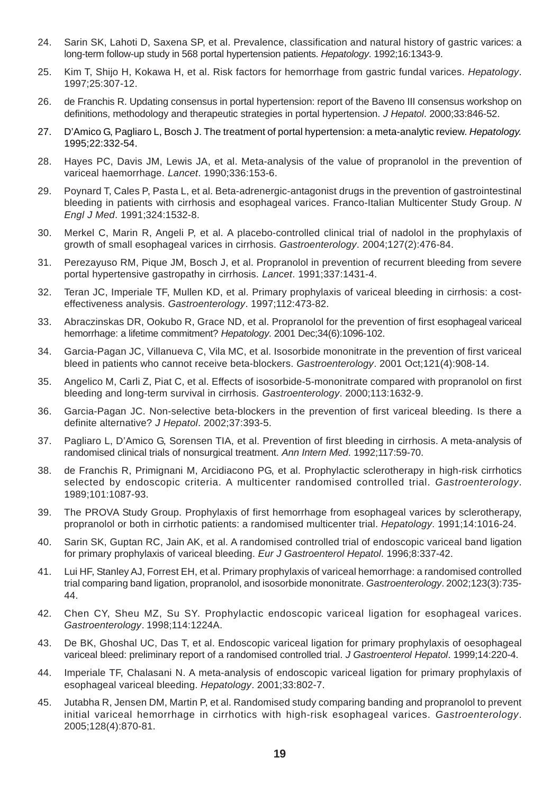- 24. Sarin SK, Lahoti D, Saxena SP, et al. Prevalence, classification and natural history of gastric varices: a long-term follow-up study in 568 portal hypertension patients. *Hepatology*. 1992;16:1343-9.
- 25. Kim T, Shijo H, Kokawa H, et al. Risk factors for hemorrhage from gastric fundal varices. *Hepatology*. 1997;25:307-12.
- 26. de Franchis R. Updating consensus in portal hypertension: report of the Baveno III consensus workshop on definitions, methodology and therapeutic strategies in portal hypertension. *J Hepatol*. 2000;33:846-52.
- 27. D'Amico G, Pagliaro L, Bosch J. The treatment of portal hypertension: a meta-analytic review. *Hepatology.* 1995;22:332-54.
- 28. Hayes PC, Davis JM, Lewis JA, et al. Meta-analysis of the value of propranolol in the prevention of variceal haemorrhage. *Lancet*. 1990;336:153-6.
- 29. Poynard T, Cales P, Pasta L, et al. Beta-adrenergic-antagonist drugs in the prevention of gastrointestinal bleeding in patients with cirrhosis and esophageal varices. Franco-Italian Multicenter Study Group. *N Engl J Med*. 1991;324:1532-8.
- 30. Merkel C, Marin R, Angeli P, et al. A placebo-controlled clinical trial of nadolol in the prophylaxis of growth of small esophageal varices in cirrhosis. *Gastroenterology*. 2004;127(2):476-84.
- 31. Perezayuso RM, Pique JM, Bosch J, et al. Propranolol in prevention of recurrent bleeding from severe portal hypertensive gastropathy in cirrhosis. *Lancet*. 1991;337:1431-4.
- 32. Teran JC, Imperiale TF, Mullen KD, et al. Primary prophylaxis of variceal bleeding in cirrhosis: a costeffectiveness analysis. *Gastroenterology*. 1997;112:473-82.
- 33. Abraczinskas DR, Ookubo R, Grace ND, et al. Propranolol for the prevention of first esophageal variceal hemorrhage: a lifetime commitment? *Hepatology*. 2001 Dec;34(6):1096-102.
- 34. Garcia-Pagan JC, Villanueva C, Vila MC, et al. Isosorbide mononitrate in the prevention of first variceal bleed in patients who cannot receive beta-blockers. *Gastroenterology*. 2001 Oct;121(4):908-14.
- 35. Angelico M, Carli Z, Piat C, et al. Effects of isosorbide-5-mononitrate compared with propranolol on first bleeding and long-term survival in cirrhosis. *Gastroenterology*. 2000;113:1632-9.
- 36. Garcia-Pagan JC. Non-selective beta-blockers in the prevention of first variceal bleeding. Is there a definite alternative? *J Hepatol*. 2002;37:393-5.
- 37. Pagliaro L, D'Amico G, Sorensen TIA, et al. Prevention of first bleeding in cirrhosis. A meta-analysis of randomised clinical trials of nonsurgical treatment. *Ann Intern Med*. 1992;117:59-70.
- 38. de Franchis R, Primignani M, Arcidiacono PG, et al. Prophylactic sclerotherapy in high-risk cirrhotics selected by endoscopic criteria. A multicenter randomised controlled trial. *Gastroenterology*. 1989;101:1087-93.
- 39. The PROVA Study Group. Prophylaxis of first hemorrhage from esophageal varices by sclerotherapy, propranolol or both in cirrhotic patients: a randomised multicenter trial. *Hepatology*. 1991;14:1016-24.
- 40. Sarin SK, Guptan RC, Jain AK, et al. A randomised controlled trial of endoscopic variceal band ligation for primary prophylaxis of variceal bleeding. *Eur J Gastroenterol Hepatol*. 1996;8:337-42.
- 41. Lui HF, Stanley AJ, Forrest EH, et al. Primary prophylaxis of variceal hemorrhage: a randomised controlled trial comparing band ligation, propranolol, and isosorbide mononitrate. *Gastroenterology*. 2002;123(3):735- 44.
- 42. Chen CY, Sheu MZ, Su SY. Prophylactic endoscopic variceal ligation for esophageal varices. *Gastroenterology*. 1998;114:1224A.
- 43. De BK, Ghoshal UC, Das T, et al. Endoscopic variceal ligation for primary prophylaxis of oesophageal variceal bleed: preliminary report of a randomised controlled trial. *J Gastroenterol Hepatol*. 1999;14:220-4.
- 44. Imperiale TF, Chalasani N. A meta-analysis of endoscopic variceal ligation for primary prophylaxis of esophageal variceal bleeding. *Hepatology*. 2001;33:802-7.
- 45. Jutabha R, Jensen DM, Martin P, et al. Randomised study comparing banding and propranolol to prevent initial variceal hemorrhage in cirrhotics with high-risk esophageal varices. *Gastroenterology*. 2005;128(4):870-81.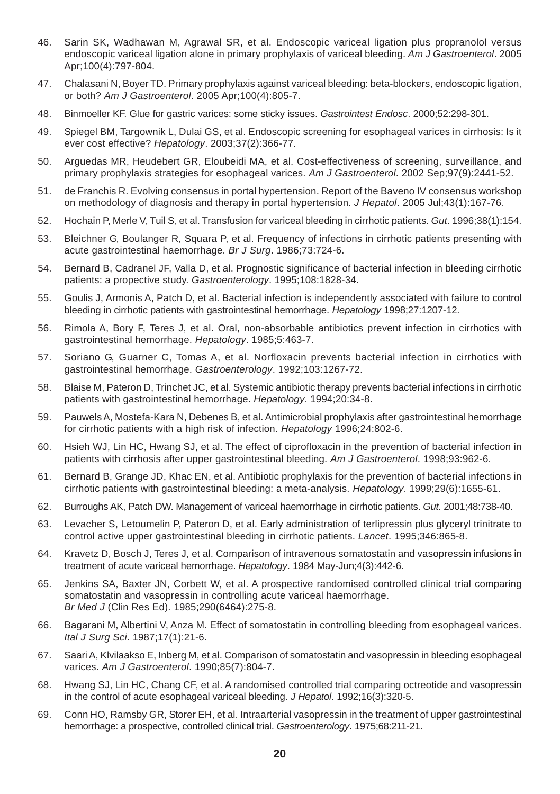- 46. Sarin SK, Wadhawan M, Agrawal SR, et al. Endoscopic variceal ligation plus propranolol versus endoscopic variceal ligation alone in primary prophylaxis of variceal bleeding. *Am J Gastroenterol*. 2005 Apr;100(4):797-804.
- 47. Chalasani N, Boyer TD. Primary prophylaxis against variceal bleeding: beta-blockers, endoscopic ligation, or both? *Am J Gastroenterol*. 2005 Apr;100(4):805-7.
- 48. Binmoeller KF. Glue for gastric varices: some sticky issues. *Gastrointest Endosc*. 2000;52:298-301.
- 49. Spiegel BM, Targownik L, Dulai GS, et al. Endoscopic screening for esophageal varices in cirrhosis: Is it ever cost effective? *Hepatology*. 2003;37(2):366-77.
- 50. Arguedas MR, Heudebert GR, Eloubeidi MA, et al. Cost-effectiveness of screening, surveillance, and primary prophylaxis strategies for esophageal varices. *Am J Gastroenterol*. 2002 Sep;97(9):2441-52.
- 51. de Franchis R. Evolving consensus in portal hypertension. Report of the Baveno IV consensus workshop on methodology of diagnosis and therapy in portal hypertension. *J Hepatol*. 2005 Jul;43(1):167-76.
- 52. Hochain P, Merle V, Tuil S, et al. Transfusion for variceal bleeding in cirrhotic patients. *Gut*. 1996;38(1):154.
- 53. Bleichner G, Boulanger R, Squara P, et al. Frequency of infections in cirrhotic patients presenting with acute gastrointestinal haemorrhage. *Br J Surg*. 1986;73:724-6.
- 54. Bernard B, Cadranel JF, Valla D, et al. Prognostic significance of bacterial infection in bleeding cirrhotic patients: a propective study. *Gastroenterology*. 1995;108:1828-34.
- 55. Goulis J, Armonis A, Patch D, et al. Bacterial infection is independently associated with failure to control bleeding in cirrhotic patients with gastrointestinal hemorrhage. *Hepatology* 1998;27:1207-12.
- 56. Rimola A, Bory F, Teres J, et al. Oral, non-absorbable antibiotics prevent infection in cirrhotics with gastrointestinal hemorrhage. *Hepatology*. 1985;5:463-7.
- 57. Soriano G, Guarner C, Tomas A, et al. Norfloxacin prevents bacterial infection in cirrhotics with gastrointestinal hemorrhage. *Gastroenterology*. 1992;103:1267-72.
- 58. Blaise M, Pateron D, Trinchet JC, et al. Systemic antibiotic therapy prevents bacterial infections in cirrhotic patients with gastrointestinal hemorrhage. *Hepatology*. 1994;20:34-8.
- 59. Pauwels A, Mostefa-Kara N, Debenes B, et al. Antimicrobial prophylaxis after gastrointestinal hemorrhage for cirrhotic patients with a high risk of infection. *Hepatology* 1996;24:802-6.
- 60. Hsieh WJ, Lin HC, Hwang SJ, et al. The effect of ciprofloxacin in the prevention of bacterial infection in patients with cirrhosis after upper gastrointestinal bleeding. *Am J Gastroenterol*. 1998;93:962-6.
- 61. Bernard B, Grange JD, Khac EN, et al. Antibiotic prophylaxis for the prevention of bacterial infections in cirrhotic patients with gastrointestinal bleeding: a meta-analysis. *Hepatology*. 1999;29(6):1655-61.
- 62. Burroughs AK, Patch DW. Management of variceal haemorrhage in cirrhotic patients. *Gut*. 2001;48:738-40.
- 63. Levacher S, Letoumelin P, Pateron D, et al. Early administration of terlipressin plus glyceryl trinitrate to control active upper gastrointestinal bleeding in cirrhotic patients. *Lancet*. 1995;346:865-8.
- 64. Kravetz D, Bosch J, Teres J, et al. Comparison of intravenous somatostatin and vasopressin infusions in treatment of acute variceal hemorrhage. *Hepatology*. 1984 May-Jun;4(3):442-6.
- 65. Jenkins SA, Baxter JN, Corbett W, et al. A prospective randomised controlled clinical trial comparing somatostatin and vasopressin in controlling acute variceal haemorrhage. *Br Med J* (Clin Res Ed). 1985;290(6464):275-8.
- 66. Bagarani M, Albertini V, Anza M. Effect of somatostatin in controlling bleeding from esophageal varices. *Ital J Surg Sci*. 1987;17(1):21-6.
- 67. Saari A, Klvilaakso E, Inberg M, et al. Comparison of somatostatin and vasopressin in bleeding esophageal varices. *Am J Gastroenterol*. 1990;85(7):804-7.
- 68. Hwang SJ, Lin HC, Chang CF, et al. A randomised controlled trial comparing octreotide and vasopressin in the control of acute esophageal variceal bleeding. *J Hepatol*. 1992;16(3):320-5.
- 69. Conn HO, Ramsby GR, Storer EH, et al. Intraarterial vasopressin in the treatment of upper gastrointestinal hemorrhage: a prospective, controlled clinical trial. *Gastroenterology*. 1975;68:211-21.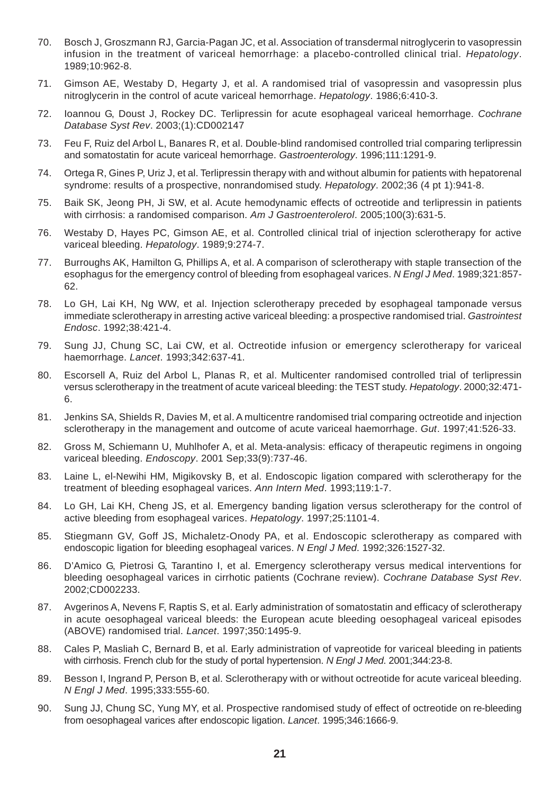- 70. Bosch J, Groszmann RJ, Garcia-Pagan JC, et al. Association of transdermal nitroglycerin to vasopressin infusion in the treatment of variceal hemorrhage: a placebo-controlled clinical trial. *Hepatology*. 1989;10:962-8.
- 71. Gimson AE, Westaby D, Hegarty J, et al. A randomised trial of vasopressin and vasopressin plus nitroglycerin in the control of acute variceal hemorrhage. *Hepatology*. 1986;6:410-3.
- 72. Ioannou G, Doust J, Rockey DC. Terlipressin for acute esophageal variceal hemorrhage. *Cochrane Database Syst Rev*. 2003;(1):CD002147
- 73. Feu F, Ruiz del Arbol L, Banares R, et al. Double-blind randomised controlled trial comparing terlipressin and somatostatin for acute variceal hemorrhage. *Gastroenterology*. 1996;111:1291-9.
- 74. Ortega R, Gines P, Uriz J, et al. Terlipressin therapy with and without albumin for patients with hepatorenal syndrome: results of a prospective, nonrandomised study. *Hepatology*. 2002;36 (4 pt 1):941-8.
- 75. Baik SK, Jeong PH, Ji SW, et al. Acute hemodynamic effects of octreotide and terlipressin in patients with cirrhosis: a randomised comparison. *Am J Gastroenterolerol*. 2005;100(3):631-5.
- 76. Westaby D, Hayes PC, Gimson AE, et al. Controlled clinical trial of injection sclerotherapy for active variceal bleeding. *Hepatology*. 1989;9:274-7.
- 77. Burroughs AK, Hamilton G, Phillips A, et al. A comparison of sclerotherapy with staple transection of the esophagus for the emergency control of bleeding from esophageal varices. *N Engl J Med*. 1989;321:857- 62.
- 78. Lo GH, Lai KH, Ng WW, et al. Injection sclerotherapy preceded by esophageal tamponade versus immediate sclerotherapy in arresting active variceal bleeding: a prospective randomised trial. *Gastrointest Endosc*. 1992;38:421-4.
- 79. Sung JJ, Chung SC, Lai CW, et al. Octreotide infusion or emergency sclerotherapy for variceal haemorrhage. *Lancet*. 1993;342:637-41.
- 80. Escorsell A, Ruiz del Arbol L, Planas R, et al. Multicenter randomised controlled trial of terlipressin versus sclerotherapy in the treatment of acute variceal bleeding: the TEST study. *Hepatology*. 2000;32:471- 6.
- 81. Jenkins SA, Shields R, Davies M, et al. A multicentre randomised trial comparing octreotide and injection sclerotherapy in the management and outcome of acute variceal haemorrhage. *Gut*. 1997;41:526-33.
- 82. Gross M, Schiemann U, Muhlhofer A, et al. Meta-analysis: efficacy of therapeutic regimens in ongoing variceal bleeding. *Endoscopy*. 2001 Sep;33(9):737-46.
- 83. Laine L, el-Newihi HM, Migikovsky B, et al. Endoscopic ligation compared with sclerotherapy for the treatment of bleeding esophageal varices. *Ann Intern Med*. 1993;119:1-7.
- 84. Lo GH, Lai KH, Cheng JS, et al. Emergency banding ligation versus sclerotherapy for the control of active bleeding from esophageal varices. *Hepatology*. 1997;25:1101-4.
- 85. Stiegmann GV, Goff JS, Michaletz-Onody PA, et al. Endoscopic sclerotherapy as compared with endoscopic ligation for bleeding esophageal varices. *N Engl J Med*. 1992;326:1527-32.
- 86. D'Amico G, Pietrosi G, Tarantino I, et al. Emergency sclerotherapy versus medical interventions for bleeding oesophageal varices in cirrhotic patients (Cochrane review). *Cochrane Database Syst Rev*. 2002;CD002233.
- 87. Avgerinos A, Nevens F, Raptis S, et al. Early administration of somatostatin and efficacy of sclerotherapy in acute oesophageal variceal bleeds: the European acute bleeding oesophageal variceal episodes (ABOVE) randomised trial. *Lancet*. 1997;350:1495-9.
- 88. Cales P, Masliah C, Bernard B, et al. Early administration of vapreotide for variceal bleeding in patients with cirrhosis. French club for the study of portal hypertension. *N Engl J Med*. 2001;344:23-8.
- 89. Besson I, Ingrand P, Person B, et al. Sclerotherapy with or without octreotide for acute variceal bleeding. *N Engl J Med*. 1995;333:555-60.
- 90. Sung JJ, Chung SC, Yung MY, et al. Prospective randomised study of effect of octreotide on re-bleeding from oesophageal varices after endoscopic ligation. *Lancet*. 1995;346:1666-9.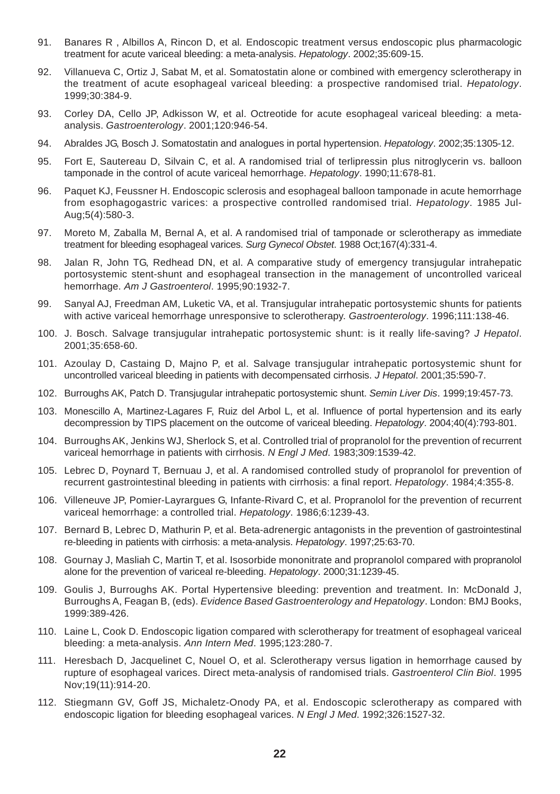- 91. Banares R , Albillos A, Rincon D, et al*.* Endoscopic treatment versus endoscopic plus pharmacologic treatment for acute variceal bleeding: a meta-analysis. *Hepatology*. 2002;35:609-15.
- 92. Villanueva C, Ortiz J, Sabat M, et al. Somatostatin alone or combined with emergency sclerotherapy in the treatment of acute esophageal variceal bleeding: a prospective randomised trial. *Hepatology*. 1999;30:384-9.
- 93. Corley DA, Cello JP, Adkisson W, et al. Octreotide for acute esophageal variceal bleeding: a metaanalysis. *Gastroenterology*. 2001;120:946-54.
- 94. Abraldes JG, Bosch J. Somatostatin and analogues in portal hypertension. *Hepatology*. 2002;35:1305-12.
- 95. Fort E, Sautereau D, Silvain C, et al. A randomised trial of terlipressin plus nitroglycerin vs. balloon tamponade in the control of acute variceal hemorrhage. *Hepatology*. 1990;11:678-81.
- 96. Paquet KJ, Feussner H. Endoscopic sclerosis and esophageal balloon tamponade in acute hemorrhage from esophagogastric varices: a prospective controlled randomised trial. *Hepatology*. 1985 Jul-Aug;5(4):580-3.
- 97. Moreto M, Zaballa M, Bernal A, et al. A randomised trial of tamponade or sclerotherapy as immediate treatment for bleeding esophageal varices. *Surg Gynecol Obstet*. 1988 Oct;167(4):331-4.
- 98. Jalan R, John TG, Redhead DN, et al. A comparative study of emergency transjugular intrahepatic portosystemic stent-shunt and esophageal transection in the management of uncontrolled variceal hemorrhage. *Am J Gastroenterol*. 1995;90:1932-7.
- 99. Sanyal AJ, Freedman AM, Luketic VA, et al. Transjugular intrahepatic portosystemic shunts for patients with active variceal hemorrhage unresponsive to sclerotherapy. *Gastroenterology*. 1996;111:138-46.
- 100. J. Bosch. Salvage transjugular intrahepatic portosystemic shunt: is it really life-saving? *J Hepatol*. 2001;35:658-60.
- 101. Azoulay D, Castaing D, Majno P, et al. Salvage transjugular intrahepatic portosystemic shunt for uncontrolled variceal bleeding in patients with decompensated cirrhosis. *J Hepatol*. 2001;35:590-7.
- 102. Burroughs AK, Patch D. Transjugular intrahepatic portosystemic shunt. *Semin Liver Dis*. 1999;19:457-73.
- 103. Monescillo A, Martinez-Lagares F, Ruiz del Arbol L, et al. Influence of portal hypertension and its early decompression by TIPS placement on the outcome of variceal bleeding. *Hepatology*. 2004;40(4):793-801.
- 104. Burroughs AK, Jenkins WJ, Sherlock S, et al. Controlled trial of propranolol for the prevention of recurrent variceal hemorrhage in patients with cirrhosis. *N Engl J Med*. 1983;309:1539-42.
- 105. Lebrec D, Poynard T, Bernuau J, et al. A randomised controlled study of propranolol for prevention of recurrent gastrointestinal bleeding in patients with cirrhosis: a final report. *Hepatology*. 1984;4:355-8.
- 106. Villeneuve JP, Pomier-Layrargues G, Infante-Rivard C, et al. Propranolol for the prevention of recurrent variceal hemorrhage: a controlled trial. *Hepatology*. 1986;6:1239-43.
- 107. Bernard B, Lebrec D, Mathurin P, et al. Beta-adrenergic antagonists in the prevention of gastrointestinal re-bleeding in patients with cirrhosis: a meta-analysis. *Hepatology*. 1997;25:63-70.
- 108. Gournay J, Masliah C, Martin T, et al. Isosorbide mononitrate and propranolol compared with propranolol alone for the prevention of variceal re-bleeding. *Hepatology*. 2000;31:1239-45.
- 109. Goulis J, Burroughs AK. Portal Hypertensive bleeding: prevention and treatment. In: McDonald J, Burroughs A, Feagan B, (eds). *Evidence Based Gastroenterology and Hepatology*. London: BMJ Books, 1999:389-426.
- 110. Laine L, Cook D. Endoscopic ligation compared with sclerotherapy for treatment of esophageal variceal bleeding: a meta-analysis. *Ann Intern Med*. 1995;123:280-7.
- 111. Heresbach D, Jacquelinet C, Nouel O, et al. Sclerotherapy versus ligation in hemorrhage caused by rupture of esophageal varices. Direct meta-analysis of randomised trials. *Gastroenterol Clin Biol*. 1995 Nov;19(11):914-20.
- 112. Stiegmann GV, Goff JS, Michaletz-Onody PA, et al. Endoscopic sclerotherapy as compared with endoscopic ligation for bleeding esophageal varices. *N Engl J Med*. 1992;326:1527-32.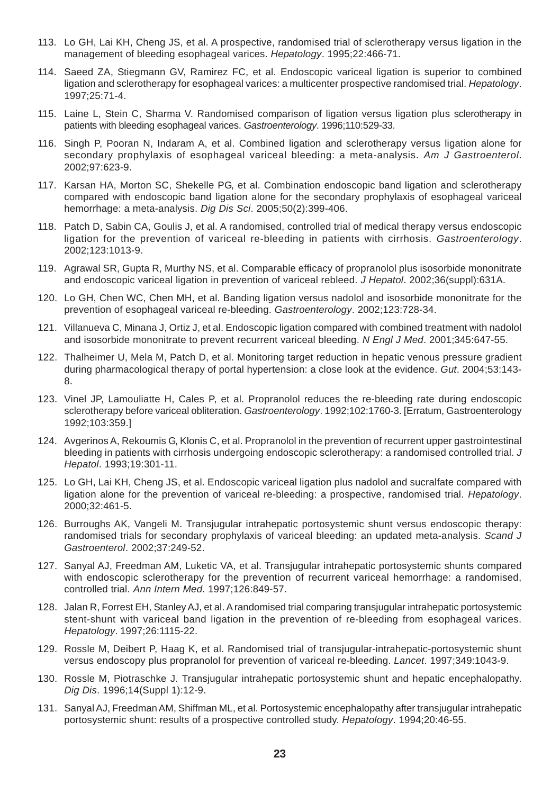- 113. Lo GH, Lai KH, Cheng JS, et al. A prospective, randomised trial of sclerotherapy versus ligation in the management of bleeding esophageal varices. *Hepatology*. 1995;22:466-71.
- 114. Saeed ZA, Stiegmann GV, Ramirez FC, et al. Endoscopic variceal ligation is superior to combined ligation and sclerotherapy for esophageal varices: a multicenter prospective randomised trial. *Hepatology*. 1997;25:71-4.
- 115. Laine L, Stein C, Sharma V. Randomised comparison of ligation versus ligation plus sclerotherapy in patients with bleeding esophageal varices. *Gastroenterology*. 1996;110:529-33.
- 116. Singh P, Pooran N, Indaram A, et al. Combined ligation and sclerotherapy versus ligation alone for secondary prophylaxis of esophageal variceal bleeding: a meta-analysis. *Am J Gastroenterol*. 2002;97:623-9.
- 117. Karsan HA, Morton SC, Shekelle PG, et al. Combination endoscopic band ligation and sclerotherapy compared with endoscopic band ligation alone for the secondary prophylaxis of esophageal variceal hemorrhage: a meta-analysis. *Dig Dis Sci*. 2005;50(2):399-406.
- 118. Patch D, Sabin CA, Goulis J, et al. A randomised, controlled trial of medical therapy versus endoscopic ligation for the prevention of variceal re-bleeding in patients with cirrhosis. *Gastroenterology*. 2002;123:1013-9.
- 119. Agrawal SR, Gupta R, Murthy NS, et al. Comparable efficacy of propranolol plus isosorbide mononitrate and endoscopic variceal ligation in prevention of variceal rebleed. *J Hepatol*. 2002;36(suppl):631A.
- 120. Lo GH, Chen WC, Chen MH, et al. Banding ligation versus nadolol and isosorbide mononitrate for the prevention of esophageal variceal re-bleeding. *Gastroenterology*. 2002;123:728-34.
- 121. Villanueva C, Minana J, Ortiz J, et al. Endoscopic ligation compared with combined treatment with nadolol and isosorbide mononitrate to prevent recurrent variceal bleeding. *N Engl J Med*. 2001;345:647-55.
- 122. Thalheimer U, Mela M, Patch D, et al. Monitoring target reduction in hepatic venous pressure gradient during pharmacological therapy of portal hypertension: a close look at the evidence. *Gut*. 2004;53:143- 8.
- 123. Vinel JP, Lamouliatte H, Cales P, et al. Propranolol reduces the re-bleeding rate during endoscopic sclerotherapy before variceal obliteration. *Gastroenterology*. 1992;102:1760-3. [Erratum, Gastroenterology 1992;103:359.]
- 124. Avgerinos A, Rekoumis G, Klonis C, et al. Propranolol in the prevention of recurrent upper gastrointestinal bleeding in patients with cirrhosis undergoing endoscopic sclerotherapy: a randomised controlled trial. *J Hepatol*. 1993;19:301-11.
- 125. Lo GH, Lai KH, Cheng JS, et al. Endoscopic variceal ligation plus nadolol and sucralfate compared with ligation alone for the prevention of variceal re-bleeding: a prospective, randomised trial. *Hepatology*. 2000;32:461-5.
- 126. Burroughs AK, Vangeli M. Transjugular intrahepatic portosystemic shunt versus endoscopic therapy: randomised trials for secondary prophylaxis of variceal bleeding: an updated meta-analysis. *Scand J Gastroenterol*. 2002;37:249-52.
- 127. Sanyal AJ, Freedman AM, Luketic VA, et al. Transjugular intrahepatic portosystemic shunts compared with endoscopic sclerotherapy for the prevention of recurrent variceal hemorrhage: a randomised, controlled trial. *Ann Intern Med*. 1997;126:849-57.
- 128. Jalan R, Forrest EH, Stanley AJ, et al. A randomised trial comparing transjugular intrahepatic portosystemic stent-shunt with variceal band ligation in the prevention of re-bleeding from esophageal varices. *Hepatology*. 1997;26:1115-22.
- 129. Rossle M, Deibert P, Haag K, et al. Randomised trial of transjugular-intrahepatic-portosystemic shunt versus endoscopy plus propranolol for prevention of variceal re-bleeding. *Lancet*. 1997;349:1043-9.
- 130. Rossle M, Piotraschke J. Transjugular intrahepatic portosystemic shunt and hepatic encephalopathy. *Dig Dis*. 1996;14(Suppl 1):12-9.
- 131. Sanyal AJ, Freedman AM, Shiffman ML, et al. Portosystemic encephalopathy after transjugular intrahepatic portosystemic shunt: results of a prospective controlled study. *Hepatology*. 1994;20:46-55.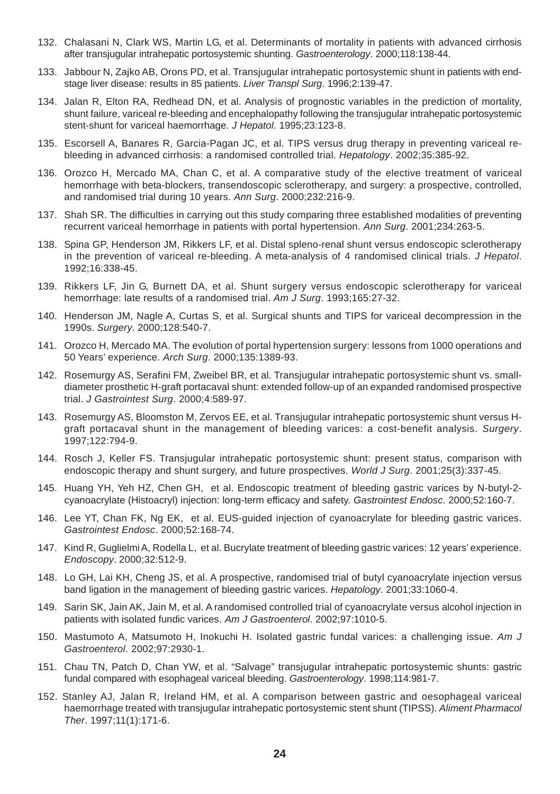- 132. Chalasani N, Clark WS, Martin LG, et al. Determinants of mortality in patients with advanced cirrhosis after transjugular intrahepatic portosystemic shunting. *Gastroenterology*. 2000;118:138-44.
- 133. Jabbour N, Zajko AB, Orons PD, et al. Transjugular intrahepatic portosystemic shunt in patients with endstage liver disease: results in 85 patients. *Liver Transpl Surg*. 1996;2:139-47.
- 134. Jalan R, Elton RA, Redhead DN, et al. Analysis of prognostic variables in the prediction of mortality, shunt failure, variceal re-bleeding and encephalopathy following the transjugular intrahepatic portosystemic stent-shunt for variceal haemorrhage. *J Hepatol*. 1995;23:123-8.
- 135. Escorsell A, Banares R, Garcia-Pagan JC, et al. TIPS versus drug therapy in preventing variceal rebleeding in advanced cirrhosis: a randomised controlled trial. *Hepatology*. 2002;35:385-92.
- 136. Orozco H, Mercado MA, Chan C, et al. A comparative study of the elective treatment of variceal hemorrhage with beta-blockers, transendoscopic sclerotherapy, and surgery: a prospective, controlled, and randomised trial during 10 years. *Ann Surg*. 2000;232:216-9.
- 137. Shah SR. The difficulties in carrying out this study comparing three established modalities of preventing recurrent variceal hemorrhage in patients with portal hypertension. *Ann Surg*. 2001;234:263-5.
- 138. Spina GP, Henderson JM, Rikkers LF, et al. Distal spleno-renal shunt versus endoscopic sclerotherapy in the prevention of variceal re-bleeding. A meta-analysis of 4 randomised clinical trials. *J Hepatol*. 1992;16:338-45.
- 139. Rikkers LF, Jin G, Burnett DA, et al. Shunt surgery versus endoscopic sclerotherapy for variceal hemorrhage: late results of a randomised trial. *Am J Surg*. 1993;165:27-32.
- 140. Henderson JM, Nagle A, Curtas S, et al. Surgical shunts and TIPS for variceal decompression in the 1990s. *Surgery*. 2000;128:540-7.
- 141. Orozco H, Mercado MA. The evolution of portal hypertension surgery: lessons from 1000 operations and 50 Years' experience. *Arch Surg*. 2000;135:1389-93.
- 142. Rosemurgy AS, Serafini FM, Zweibel BR, et al. Transjugular intrahepatic portosystemic shunt vs. smalldiameter prosthetic H-graft portacaval shunt: extended follow-up of an expanded randomised prospective trial. *J Gastrointest Surg*. 2000;4:589-97.
- 143. Rosemurgy AS, Bloomston M, Zervos EE, et al. Transjugular intrahepatic portosystemic shunt versus Hgraft portacaval shunt in the management of bleeding varices: a cost-benefit analysis. *Surgery*. 1997;122:794-9.
- 144. Rosch J, Keller FS. Transjugular intrahepatic portosystemic shunt: present status, comparison with endoscopic therapy and shunt surgery, and future prospectives. *World J Surg*. 2001;25(3):337-45.
- 145. Huang YH, Yeh HZ, Chen GH, et al. Endoscopic treatment of bleeding gastric varices by N-butyl-2 cyanoacrylate (Histoacryl) injection: long-term efficacy and safety. *Gastrointest Endosc*. 2000;52:160-7.
- 146. Lee YT, Chan FK, Ng EK, et al. EUS-guided injection of cyanoacrylate for bleeding gastric varices. *Gastrointest Endosc*. 2000;52:168-74.
- 147. Kind R, Guglielmi A, Rodella L, et al. Bucrylate treatment of bleeding gastric varices: 12 years' experience. *Endoscopy*. 2000;32:512-9.
- 148. Lo GH, Lai KH, Cheng JS, et al. A prospective, randomised trial of butyl cyanoacrylate injection versus band ligation in the management of bleeding gastric varices. *Hepatology*. 2001;33:1060-4.
- 149. Sarin SK, Jain AK, Jain M, et al. A randomised controlled trial of cyanoacrylate versus alcohol injection in patients with isolated fundic varices. *Am J Gastroenterol*. 2002;97:1010-5.
- 150. Mastumoto A, Matsumoto H, Inokuchi H. Isolated gastric fundal varices: a challenging issue. *Am J Gastroenterol*. 2002;97:2930-1.
- 151. Chau TN, Patch D, Chan YW, et al. "Salvage" transjugular intrahepatic portosystemic shunts: gastric fundal compared with esophageal variceal bleeding. *Gastroenterology*. 1998;114:981-7.
- 152. Stanley AJ, Jalan R, Ireland HM, et al. A comparison between gastric and oesophageal variceal haemorrhage treated with transjugular intrahepatic portosystemic stent shunt (TIPSS). *Aliment Pharmacol Ther*. 1997;11(1):171-6.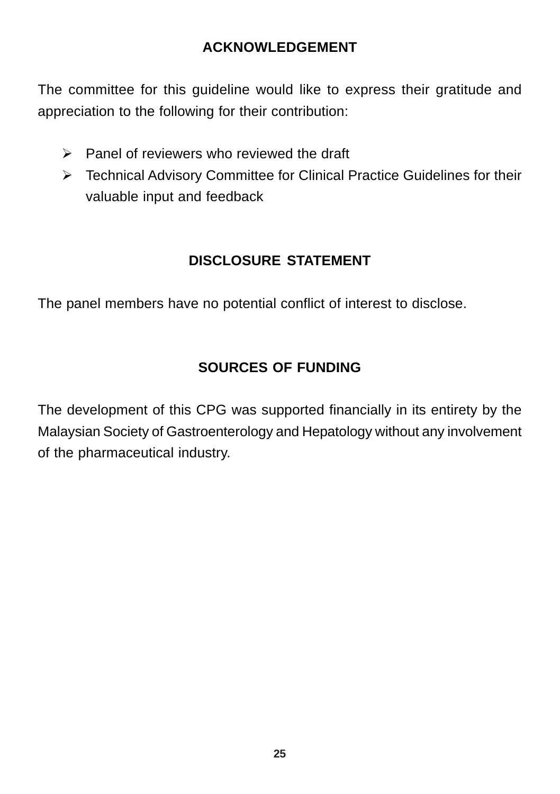## **ACKNOWLEDGEMENT**

The committee for this guideline would like to express their gratitude and appreciation to the following for their contribution:

- $\triangleright$  Panel of reviewers who reviewed the draft
- ¾ Technical Advisory Committee for Clinical Practice Guidelines for their valuable input and feedback

## **DISCLOSURE STATEMENT**

The panel members have no potential conflict of interest to disclose.

## **SOURCES OF FUNDING**

The development of this CPG was supported financially in its entirety by the Malaysian Society of Gastroenterology and Hepatology without any involvement of the pharmaceutical industry.